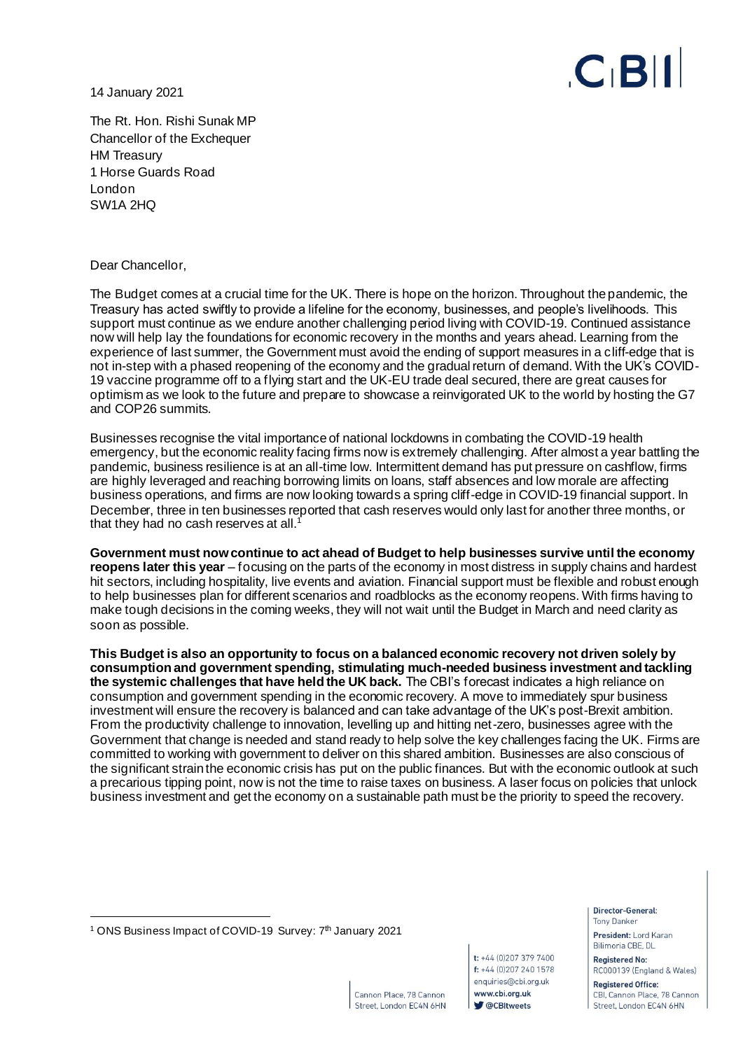14 January 2021



The Rt. Hon. Rishi Sunak MP Chancellor of the Exchequer HM Treasury 1 Horse Guards Road London SW1A 2HQ

Dear Chancellor,

The Budget comes at a crucial time for the UK. There is hope on the horizon. Throughout the pandemic, the Treasury has acted swiftly to provide a lifeline for the economy, businesses, and people's livelihoods. This support must continue as we endure another challenging period living with COVID-19. Continued assistance now will help lay the foundations for economic recovery in the months and years ahead. Learning from the experience of last summer, the Government must avoid the ending of support measures in a cliff-edge that is not in-step with a phased reopening of the economy and the gradual return of demand. With the UK's COVID-19 vaccine programme off to a flying start and the UK-EU trade deal secured, there are great causes for optimism as we look to the future and prepare to showcase a reinvigorated UK to the world by hosting the G7 and COP26 summits.

Businesses recognise the vital importance of national lockdowns in combating the COVID-19 health emergency, but the economic reality facing firms now is extremely challenging. After almost a year battling the pandemic, business resilience is at an all-time low. Intermittent demand has put pressure on cashflow, firms are highly leveraged and reaching borrowing limits on loans, staff absences and low morale are affecting business operations, and firms are now looking towards a spring cliff-edge in COVID-19 financial support. In December, three in ten businesses reported that cash reserves would only last for another three months, or that they had no cash reserves at all.<sup>1</sup>

**Government must now continue to act ahead of Budget to help businesses survive until the economy reopens later this year** – focusing on the parts of the economy in most distress in supply chains and hardest hit sectors, including hospitality, live events and aviation. Financial support must be flexible and robust enough to help businesses plan for different scenarios and roadblocks as the economy reopens. With firms having to make tough decisions in the coming weeks, they will not wait until the Budget in March and need clarity as soon as possible.

**This Budget is also an opportunity to focus on a balanced economic recovery not driven solely by consumption and government spending, stimulating much-needed business investment and tackling the systemic challenges that have held the UK back.** The CBI's forecast indicates a high reliance on consumption and government spending in the economic recovery. A move to immediately spur business investment will ensure the recovery is balanced and can take advantage of the UK's post-Brexit ambition. From the productivity challenge to innovation, levelling up and hitting net-zero, businesses agree with the Government that change is needed and stand ready to help solve the key challenges facing the UK. Firms are committed to working with government to deliver on this shared ambition. Businesses are also conscious of the significant strain the economic crisis has put on the public finances. But with the economic outlook at such a precarious tipping point, now is not the time to raise taxes on business. A laser focus on policies that unlock business investment and get the economy on a sustainable path must be the priority to speed the recovery.

enquiries@cbi.org.uk Cannon Place, 78 Cannon www.cbi.org.uk **V** @CBItweets Street, London EC4N 6HN

t: +44 (0)207 379 7400

f: +44 (0)207 240 1578

Director-General: **Tony Danker** 

President: Lord Karan Bilimoria CBE, DL

**Registered No:** RC000139 (England & Wales)

**Registered Office:** CBI, Cannon Place, 78 Cannon Street, London EC4N 6HN

<sup>&</sup>lt;sup>1</sup> ONS Business Impact of COVID-19 Survey: 7<sup>th</sup> January 2021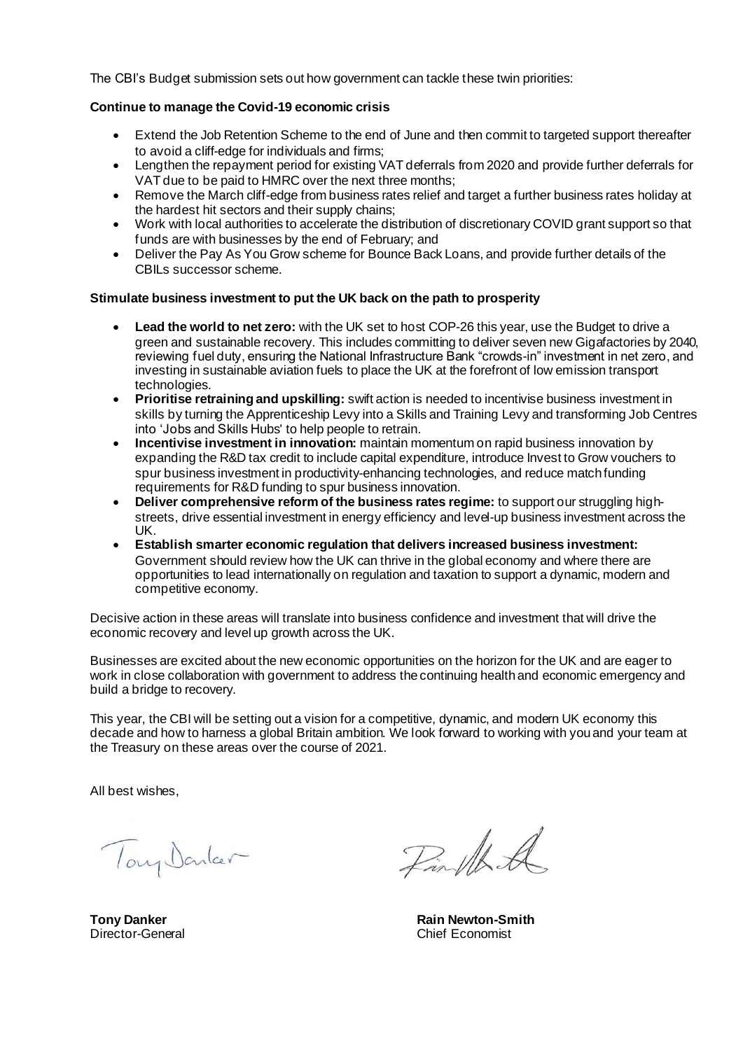The CBI's Budget submission sets out how government can tackle these twin priorities:

#### **Continue to manage the Covid-19 economic crisis**

- Extend the Job Retention Scheme to the end of June and then commit to targeted support thereafter to avoid a cliff-edge for individuals and firms;
- Lengthen the repayment period for existing VAT deferrals from 2020 and provide further deferrals for VAT due to be paid to HMRC over the next three months;
- Remove the March cliff-edge from business rates relief and target a further business rates holiday at the hardest hit sectors and their supply chains;
- Work with local authorities to accelerate the distribution of discretionary COVID grant support so that funds are with businesses by the end of February; and
- Deliver the Pay As You Grow scheme for Bounce Back Loans, and provide further details of the CBILs successor scheme.

#### **Stimulate business investment to put the UK back on the path to prosperity**

- Lead the world to net zero: with the UK set to host COP-26 this year, use the Budget to drive a green and sustainable recovery. This includes committing to deliver seven new Gigafactories by 2040, reviewing fuel duty, ensuring the National Infrastructure Bank "crowds-in" investment in net zero, and investing in sustainable aviation fuels to place the UK at the forefront of low emission transport technologies.
- **Prioritise retraining and upskilling:** swift action is needed to incentivise business investment in skills by turning the Apprenticeship Levy into a Skills and Training Levy and transforming Job Centres into 'Jobs and Skills Hubs' to help people to retrain.
- **Incentivise investment in innovation:** maintain momentum on rapid business innovation by expanding the R&D tax credit to include capital expenditure, introduce Invest to Grow vouchers to spur business investment in productivity-enhancing technologies, and reduce match funding requirements for R&D funding to spur business innovation.
- **Deliver comprehensive reform of the business rates regime:** to support our struggling highstreets, drive essential investment in energy efficiency and level-up business investment across the UK.
- **Establish smarter economic regulation that delivers increased business investment:**  Government should review how the UK can thrive in the global economy and where there are opportunities to lead internationally on regulation and taxation to support a dynamic, modern and competitive economy.

Decisive action in these areas will translate into business confidence and investment that will drive the economic recovery and level up growth across the UK.

Businesses are excited about the new economic opportunities on the horizon for the UK and are eager to work in close collaboration with government to address the continuing health and economic emergency and build a bridge to recovery.

This year, the CBI will be setting out a vision for a competitive, dynamic, and modern UK economy this decade and how to harness a global Britain ambition. We look forward to working with you and your team at the Treasury on these areas over the course of 2021.

All best wishes,

Tony Donker

**Tony Danker** Director-General

Finthal

**Rain Newton-Smith** Chief Economist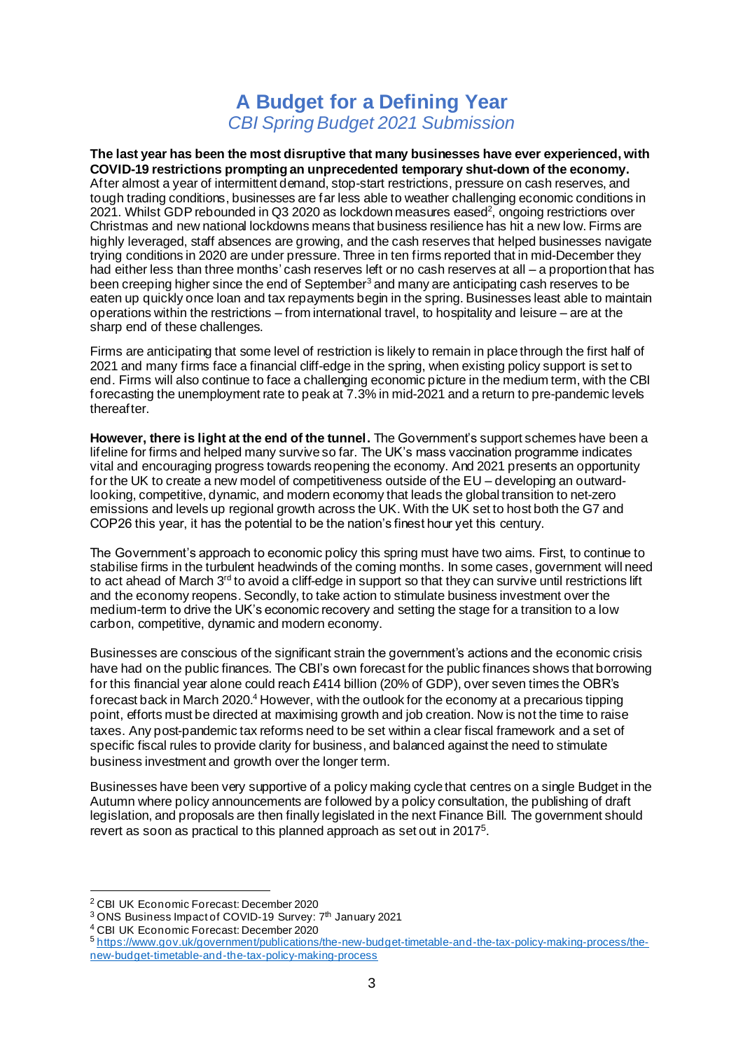# **A Budget for a Defining Year** *CBI Spring Budget 2021 Submission*

**The last year has been the most disruptive that many businesses have ever experienced, with COVID-19 restrictions prompting an unprecedented temporary shut-down of the economy.**  After almost a year of intermittent demand, stop-start restrictions, pressure on cash reserves, and tough trading conditions, businesses are far less able to weather challenging economic conditions in 2021. Whilst GDP rebounded in Q3 2020 as lockdown measures eased<sup>2</sup>, ongoing restrictions over Christmas and new national lockdowns means that business resilience has hit a new low. Firms are highly leveraged, staff absences are growing, and the cash reserves that helped businesses navigate trying conditions in 2020 are under pressure. Three in ten firms reported that in mid-December they had either less than three months' cash reserves left or no cash reserves at all – a proportion that has been creeping higher since the end of September<sup>3</sup> and many are anticipating cash reserves to be eaten up quickly once loan and tax repayments begin in the spring. Businesses least able to maintain operations within the restrictions – from international travel, to hospitality and leisure – are at the sharp end of these challenges.

Firms are anticipating that some level of restriction is likely to remain in place through the first half of 2021 and many firms face a financial cliff-edge in the spring, when existing policy support is set to end. Firms will also continue to face a challenging economic picture in the medium term, with the CBI forecasting the unemployment rate to peak at 7.3% in mid-2021 and a return to pre-pandemic levels thereafter.

**However, there is light at the end of the tunnel.** The Government's support schemes have been a lifeline for firms and helped many survive so far. The UK's mass vaccination programme indicates vital and encouraging progress towards reopening the economy. And 2021 presents an opportunity for the UK to create a new model of competitiveness outside of the EU – developing an outwardlooking, competitive, dynamic, and modern economy that leads the global transition to net-zero emissions and levels up regional growth across the UK. With the UK set to host both the G7 and COP26 this year, it has the potential to be the nation's finest hour yet this century.

The Government's approach to economic policy this spring must have two aims. First, to continue to stabilise firms in the turbulent headwinds of the coming months. In some cases, government will need to act ahead of March  $3<sup>rd</sup>$  to avoid a cliff-edge in support so that they can survive until restrictions lift and the economy reopens. Secondly, to take action to stimulate business investment over the medium-term to drive the UK's economic recovery and setting the stage for a transition to a low carbon, competitive, dynamic and modern economy.

Businesses are conscious of the significant strain the government's actions and the economic crisis have had on the public finances. The CBI's own forecast for the public finances shows that borrowing for this financial year alone could reach £414 billion (20% of GDP), over seven times the OBR's forecast back in March 2020.<sup>4</sup> However, with the outlook for the economy at a precarious tipping point, efforts must be directed at maximising growth and job creation. Now is not the time to raise taxes. Any post-pandemic tax reforms need to be set within a clear fiscal framework and a set of specific fiscal rules to provide clarity for business, and balanced against the need to stimulate business investment and growth over the longer term.

Businesses have been very supportive of a policy making cycle that centres on a single Budget in the Autumn where policy announcements are followed by a policy consultation, the publishing of draft legislation, and proposals are then finally legislated in the next Finance Bill. The government should revert as soon as practical to this planned approach as set out in 2017<sup>5</sup>.

<sup>2</sup> CBI UK Economic Forecast: December 2020

<sup>&</sup>lt;sup>3</sup> ONS Business Impact of COVID-19 Survey: 7<sup>th</sup> January 2021

<sup>4</sup> CBI UK Economic Forecast: December 2020

<sup>5</sup> [https://www.gov.uk/government/publications/the-new-budget-timetable-and-the-tax-policy-making-process/the](https://www.gov.uk/government/publications/the-new-budget-timetable-and-the-tax-policy-making-process/the-new-budget-timetable-and-the-tax-policy-making-process)[new-budget-timetable-and-the-tax-policy-making-process](https://www.gov.uk/government/publications/the-new-budget-timetable-and-the-tax-policy-making-process/the-new-budget-timetable-and-the-tax-policy-making-process)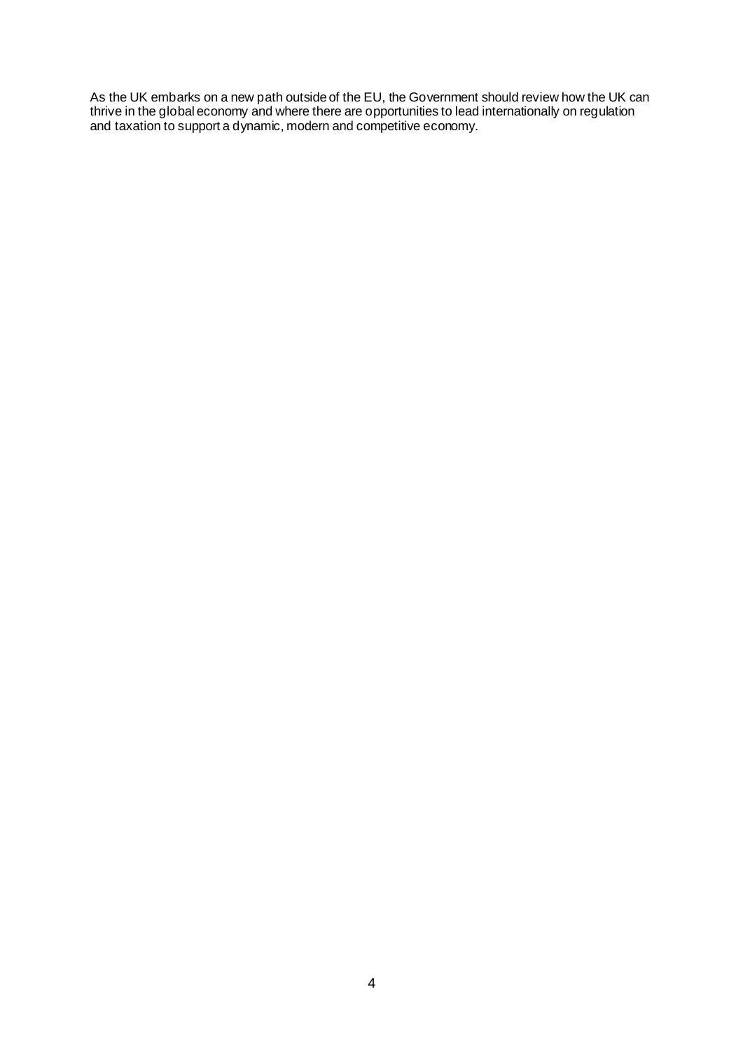As the UK embarks on a new path outside of the EU, the Government should review how the UK can thrive in the global economy and where there are opportunities to lead internationally on regulation and taxation to support a dynamic, modern and competitive economy.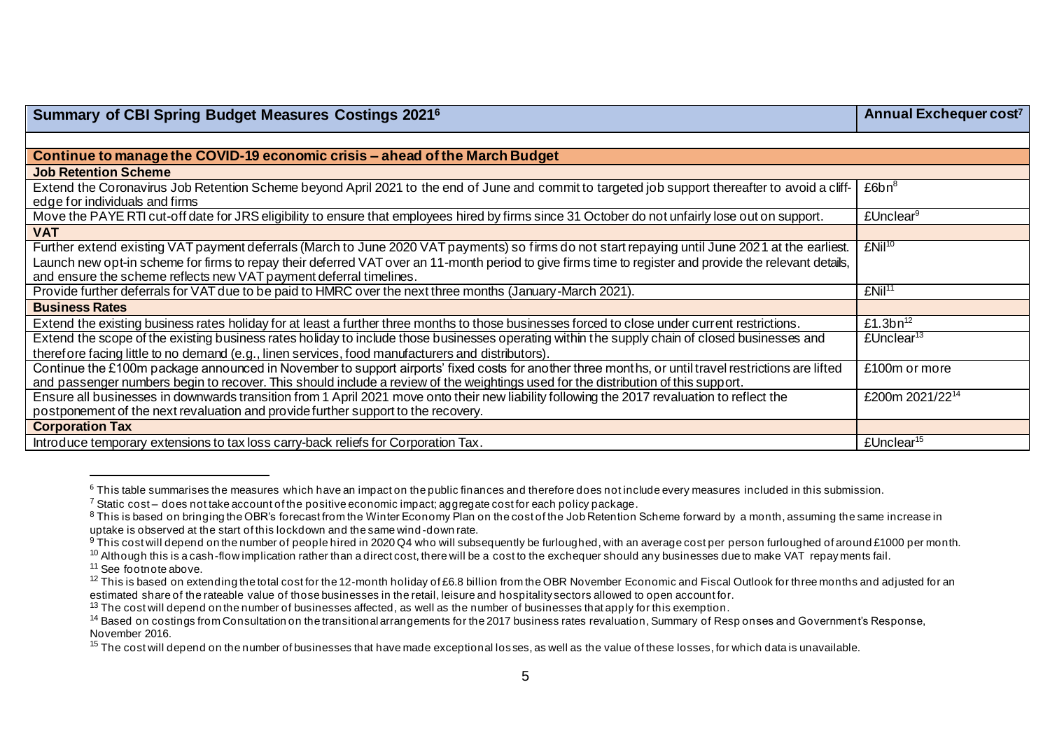| <b>Summary of CBI Spring Budget Measures Costings 20216</b>                                                                                                                                                                                                                                                                                                                      | Annual Exchequer cost <sup>7</sup> |
|----------------------------------------------------------------------------------------------------------------------------------------------------------------------------------------------------------------------------------------------------------------------------------------------------------------------------------------------------------------------------------|------------------------------------|
|                                                                                                                                                                                                                                                                                                                                                                                  |                                    |
| Continue to manage the COVID-19 economic crisis – ahead of the March Budget                                                                                                                                                                                                                                                                                                      |                                    |
| <b>Job Retention Scheme</b>                                                                                                                                                                                                                                                                                                                                                      |                                    |
| Extend the Coronavirus Job Retention Scheme beyond April 2021 to the end of June and commit to targeted job support thereafter to avoid a cliff-<br>edge for individuals and firms                                                                                                                                                                                               | £6bn <sup>8</sup>                  |
| Move the PAYE RTI cut-off date for JRS eligibility to ensure that employees hired by firms since 31 October do not unfairly lose out on support.                                                                                                                                                                                                                                 | £Unclear <sup>9</sup>              |
| <b>VAT</b>                                                                                                                                                                                                                                                                                                                                                                       |                                    |
| Further extend existing VAT payment deferrals (March to June 2020 VAT payments) so firms do not start repaying until June 2021 at the earliest.<br>Launch new opt-in scheme for firms to repay their deferred VAT over an 11-month period to give firms time to register and provide the relevant details,<br>and ensure the scheme reflects new VAT payment deferral timelines. | $EMil^{10}$                        |
| Provide further deferrals for VAT due to be paid to HMRC over the next three months (January-March 2021).                                                                                                                                                                                                                                                                        | EMi <sup>11</sup>                  |
| <b>Business Rates</b>                                                                                                                                                                                                                                                                                                                                                            |                                    |
| Extend the existing business rates holiday for at least a further three months to those businesses forced to close under current restrictions.                                                                                                                                                                                                                                   | £1.3 $bn^{12}$                     |
| Extend the scope of the existing business rates holiday to include those businesses operating within the supply chain of closed businesses and<br>therefore facing little to no demand (e.g., linen services, food manufacturers and distributors).                                                                                                                              | £Unclear <sup>13</sup>             |
| Continue the £100m package announced in November to support airports' fixed costs for another three months, or until travel restrictions are lifted<br>and passenger numbers begin to recover. This should include a review of the weightings used for the distribution of this support.                                                                                         | £100m or more                      |
| Ensure all businesses in downwards transition from 1 April 2021 move onto their new liability following the 2017 revaluation to reflect the<br>postponement of the next revaluation and provide further support to the recovery.                                                                                                                                                 | £200m 2021/2214                    |
| <b>Corporation Tax</b>                                                                                                                                                                                                                                                                                                                                                           |                                    |
| Introduce temporary extensions to tax loss carry-back reliefs for Corporation Tax.                                                                                                                                                                                                                                                                                               | £Unclear <sup>15</sup>             |

 $6$  This table summarises the measures which have an impact on the public finances and therefore does not include every measures included in this submission.

<sup>10</sup> Although this is a cash-flow implication rather than a direct cost, there will be a cost to the exchequer should any businesses due to make VAT repay ments fail.

<sup>11</sup> See footnote above.

 $7$  Static cost – does not take account of the positive economic impact; aggregate cost for each policy package.

<sup>&</sup>lt;sup>8</sup> This is based on bringing the OBR's forecast from the Winter Economy Plan on the cost of the Job Retention Scheme forward by a month, assuming the same increase in uptake is observed at the start of this lockdown and the same wind -down rate.

<sup>9</sup> This cost will depend on the number of people hired in 2020 Q4 who will subsequently be furloughed, with an average cost per person furloughed of around £1000 per month.

 $12$  This is based on extending the total cost for the 12-month holiday of £6.8 billion from the OBR November Economic and Fiscal Outlook for three months and adjusted for an estimated share of the rateable value of those businesses in the retail, leisure and hospitality sectors allowed to open account for.

 $13$  The cost will depend on the number of businesses affected, as well as the number of businesses that apply for this exemption.

<sup>&</sup>lt;sup>14</sup> Based on costings from Consultation on the transitional arrangements for the 2017 business rates revaluation, Summary of Responses and Government's Response, November 2016.

<sup>&</sup>lt;sup>15</sup> The cost will depend on the number of businesses that have made exceptional losses, as well as the value of these losses, for which data is unavailable.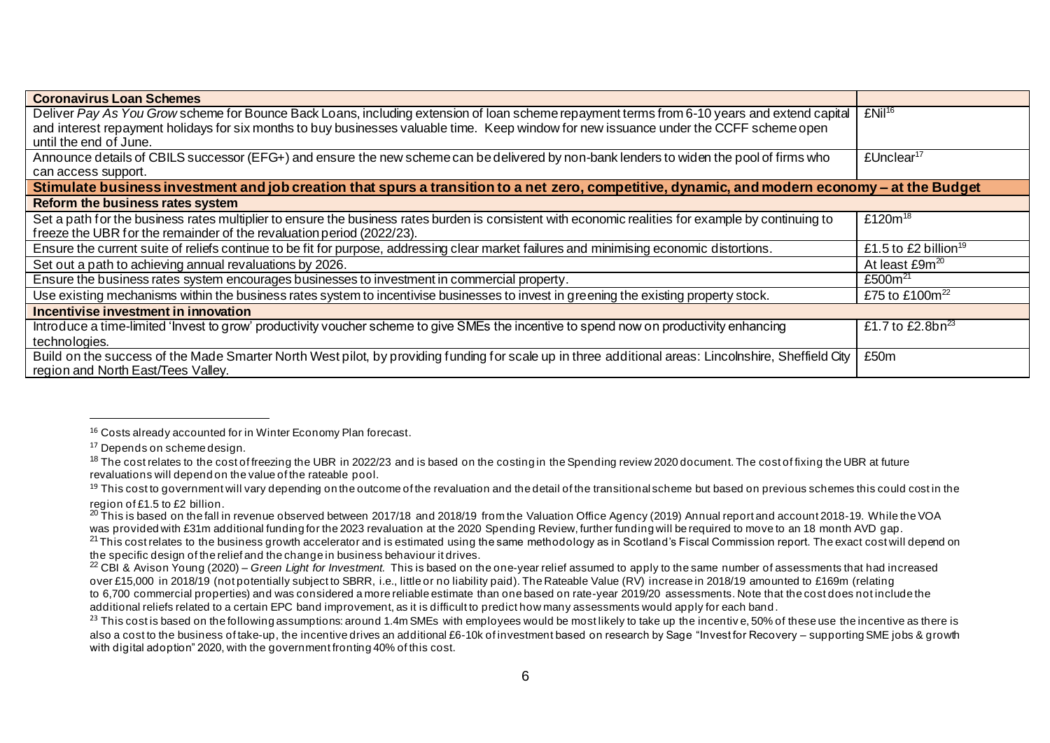| <b>Coronavirus Loan Schemes</b>                                                                                                                      |                                  |
|------------------------------------------------------------------------------------------------------------------------------------------------------|----------------------------------|
| Deliver Pay As You Grow scheme for Bounce Back Loans, including extension of Ioan scheme repayment terms from 6-10 years and extend capital          | $EMil^{16}$                      |
| and interest repayment holidays for six months to buy businesses valuable time. Keep window for new issuance under the CCFF scheme open              |                                  |
| until the end of June.                                                                                                                               |                                  |
| Announce details of CBILS successor (EFG+) and ensure the new scheme can be delivered by non-bank lenders to widen the pool of firms who             | £Unclear <sup>17</sup>           |
| can access support.                                                                                                                                  |                                  |
| Stimulate business investment and job creation that spurs a transition to a net zero, competitive, dynamic, and modern economy - at the Budget       |                                  |
| Reform the business rates system                                                                                                                     |                                  |
| Set a path for the business rates multiplier to ensure the business rates burden is consistent with economic realities for example by continuing to  | £120 $m^{18}$                    |
| freeze the UBR for the remainder of the revaluation period (2022/23).                                                                                |                                  |
| Ensure the current suite of reliefs continue to be fit for purpose, addressing clear market failures and minimising economic distortions.            | £1.5 to £2 billion <sup>19</sup> |
| Set out a path to achieving annual revaluations by 2026.                                                                                             | At least £9m <sup>20</sup>       |
| Ensure the business rates system encourages businesses to investment in commercial property.                                                         | £500 $m^{21}$                    |
| Use existing mechanisms within the business rates system to incentivise businesses to invest in greening the existing property stock.                | £75 to £100 $m^{22}$             |
| Incentivise investment in innovation                                                                                                                 |                                  |
| Introduce a time-limited 'Invest to grow' productivity voucher scheme to give SMEs the incentive to spend now on productivity enhancing              | £1.7 to £2.8bn <sup>23</sup>     |
| technologies.                                                                                                                                        |                                  |
| Build on the success of the Made Smarter North West pilot, by providing funding for scale up in three additional areas: Lincolnshire, Sheffield City | £50m                             |
| region and North East/Tees Valley.                                                                                                                   |                                  |

<sup>&</sup>lt;sup>16</sup> Costs already accounted for in Winter Economy Plan forecast.

<sup>&</sup>lt;sup>17</sup> Depends on scheme design.

 $18$  The cost relates to the cost of freezing the UBR in 2022/23 and is based on the costing in the Spending review 2020 document. The cost of fixing the UBR at future revaluations will depend on the value of the rateable pool.

<sup>&</sup>lt;sup>19</sup> This cost to government will vary depending on the outcome of the revaluation and the detail of the transitional scheme but based on previous schemes this could cost in the region of £1.5 to £2 billion.

<sup>20</sup> This is based on the fall in revenue observed between 2017/18 and 2018/19 from the Valuation Office Agency (2019) Annual report and account 2018-19. While the VOA was provided with £31m additional funding for the 2023 revaluation at the 2020 Spending Review, further funding will be required to move to an 18 month AVD gap.

 $^{21}$  This cost relates to the business growth accelerator and is estimated using the same methodology as in Scotland's Fiscal Commission report. The exact cost will depend on the specific design of the relief and the change in business behaviour it drives.

<sup>22</sup> CBI & Avison Young (2020) – *Green Light for Investment.* This is based on the one-year relief assumed to apply to the same number of assessments that had increased over £15,000 in 2018/19 (not potentially subject to SBRR, i.e., little or no liability paid). The Rateable Value (RV) increase in 2018/19 amounted to £169m (relating to 6,700 commercial properties) and was considered a more reliable estimate than one based on rate-year 2019/20 assessments. Note that the cost does not include the additional reliefs related to a certain EPC band improvement, as it is difficult to predict how many assessments would apply for each band .

 $^{23}$  This cost is based on the following assumptions: around 1.4m SMEs with employees would be most likely to take up the incentive, 50% of these use the incentive as there is also a cost to the business of take-up, the incentive drives an additional £6-10k of investment based on research by Sage "Invest for Recovery – supporting SME jobs & growth with digital adoption" 2020, with the government fronting 40% of this cost.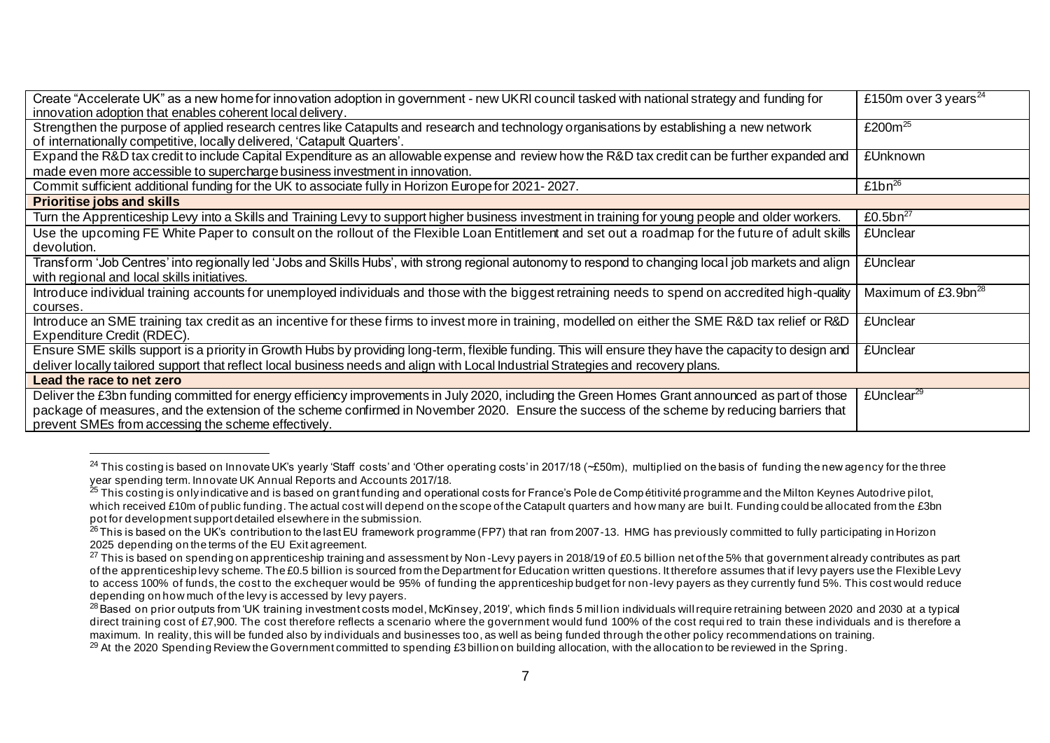| Create "Accelerate UK" as a new home for innovation adoption in government - new UKRI council tasked with national strategy and funding for            | £150m over 3 years <sup>24</sup> |
|--------------------------------------------------------------------------------------------------------------------------------------------------------|----------------------------------|
| innovation adoption that enables coherent local delivery.                                                                                              |                                  |
| Strengthen the purpose of applied research centres like Catapults and research and technology organisations by establishing a new network              | £200 $m^{25}$                    |
| of internationally competitive, locally delivered, 'Catapult Quarters'.                                                                                |                                  |
| Expand the R&D tax credit to include Capital Expenditure as an allowable expense and review how the R&D tax credit can be further expanded and         | £Unknown                         |
| made even more accessible to supercharge business investment in innovation.                                                                            |                                  |
| Commit sufficient additional funding for the UK to associate fully in Horizon Europe for 2021-2027.                                                    | £1 $bn^{26}$                     |
| <b>Prioritise jobs and skills</b>                                                                                                                      |                                  |
| Turn the Apprenticeship Levy into a Skills and Training Levy to support higher business investment in training for young people and older workers.     | £0.5 $bn^{27}$                   |
| Use the upcoming FE White Paper to consult on the rollout of the Flexible Loan Entitlement and set out a roadmap for the future of adult skills        | <b>£Unclear</b>                  |
| devolution.                                                                                                                                            |                                  |
| Transform 'Job Centres' into regionally led 'Jobs and Skills Hubs', with strong regional autonomy to respond to changing local job markets and align   | <b>£Unclear</b>                  |
| with regional and local skills initiatives.                                                                                                            |                                  |
| Introduce individual training accounts for unemployed individuals and those with the biggest retraining needs to spend on accredited high-quality      | Maximum of £3.9bn <sup>28</sup>  |
| courses.                                                                                                                                               |                                  |
| Introduce an SME training tax credit as an incentive for these firms to invest more in training, modelled on either the SME R&D tax relief or R&D      | <b>£Unclear</b>                  |
| Expenditure Credit (RDEC).                                                                                                                             |                                  |
| Ensure SME skills support is a priority in Growth Hubs by providing long-term, flexible funding. This will ensure they have the capacity to design and | <b>£Unclear</b>                  |
| deliver locally tailored support that reflect local business needs and align with Local Industrial Strategies and recovery plans.                      |                                  |
| Lead the race to net zero                                                                                                                              |                                  |
| Deliver the £3bn funding committed for energy efficiency improvements in July 2020, including the Green Homes Grant announced as part of those         | £Unclear <sup>29</sup>           |
| package of measures, and the extension of the scheme confirmed in November 2020. Ensure the success of the scheme by reducing barriers that            |                                  |
| prevent SMEs from accessing the scheme effectively.                                                                                                    |                                  |
|                                                                                                                                                        |                                  |

<sup>&</sup>lt;sup>24</sup> This costing is based on Innovate UK's yearly 'Staff costs' and 'Other operating costs' in 2017/18 (~£50m), multiplied on the basis of funding the new agency for the three year spending term. Innovate UK Annual Reports and Accounts 2017/18.

<sup>&</sup>lt;sup>25</sup> This costing is only indicative and is based on grant funding and operational costs for France's Pole de Comp étitivité programme and the Milton Keynes Autodrive pilot, which received £10m of public funding. The actual cost will depend on the scope of the Catapult quarters and how many are built. Funding could be allocated from the £3bn pot for development support detailed elsewhere in the submission.

 $^{26}$  This is based on the UK's contribution to the last EU framework programme (FP7) that ran from 2007-13. HMG has previously committed to fully participating in Horizon 2025 depending on the terms of the EU Exit agreement.

<sup>&</sup>lt;sup>27</sup> This is based on spending on apprenticeship training and assessment by Non-Levy payers in 2018/19 of £0.5 billion net of the 5% that government already contributes as part of the apprenticeship levy scheme. The £0.5 billion is sourced from the Department for Education written questions. It therefore assumes that if levy payers use the Flexible Levy to access 100% of funds, the cost to the exchequer would be 95% of funding the apprenticeship budget for non-levy payers as they currently fund 5%. This cost would reduce depending on how much of the levy is accessed by levy payers.

<sup>&</sup>lt;sup>28</sup> Based on prior outputs from 'UK training investment costs model, McKinsey, 2019', which finds 5 million individuals will require retraining between 2020 and 2030 at a typical direct training cost of £7,900. The cost therefore reflects a scenario where the government would fund 100% of the cost requi red to train these individuals and is therefore a maximum. In reality, this will be funded also by individuals and businesses too, as well as being funded through the other policy recommendations on training.

<sup>&</sup>lt;sup>29</sup> At the 2020 Spending Review the Government committed to spending £3 billion on building allocation, with the allocation to be reviewed in the Spring.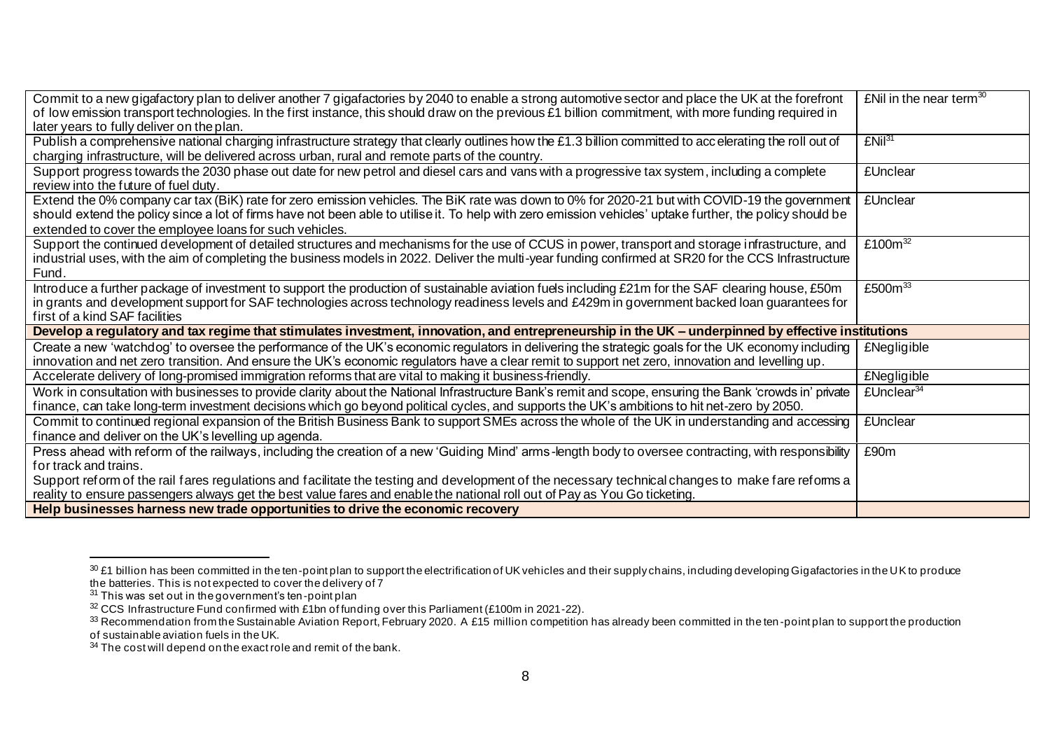| Commit to a new gigafactory plan to deliver another 7 gigafactories by 2040 to enable a strong automotive sector and place the UK at the forefront<br>of low emission transport technologies. In the first instance, this should draw on the previous £1 billion commitment, with more funding required in<br>later years to fully deliver on the plan.               | £Nil in the near term $30$ |
|-----------------------------------------------------------------------------------------------------------------------------------------------------------------------------------------------------------------------------------------------------------------------------------------------------------------------------------------------------------------------|----------------------------|
| Publish a comprehensive national charging infrastructure strategy that clearly outlines how the £1.3 billion committed to accelerating the roll out of<br>charging infrastructure, will be delivered across urban, rural and remote parts of the country.                                                                                                             | £Nil <sup>31</sup>         |
| Support progress towards the 2030 phase out date for new petrol and diesel cars and vans with a progressive tax system, including a complete<br>review into the future of fuel duty.                                                                                                                                                                                  | <b>£Unclear</b>            |
| Extend the 0% company car tax (BiK) rate for zero emission vehicles. The BiK rate was down to 0% for 2020-21 but with COVID-19 the government<br>should extend the policy since a lot of firms have not been able to utilise it. To help with zero emission vehicles' uptake further, the policy should be<br>extended to cover the employee loans for such vehicles. | <b>£Unclear</b>            |
| Support the continued development of detailed structures and mechanisms for the use of CCUS in power, transport and storage infrastructure, and<br>industrial uses, with the aim of completing the business models in 2022. Deliver the multi-year funding confirmed at SR20 for the CCS Infrastructure<br>Fund.                                                      | £100 $\overline{m^{32}}$   |
| Introduce a further package of investment to support the production of sustainable aviation fuels including £21m for the SAF clearing house, £50m<br>in grants and development support for SAF technologies across technology readiness levels and £429m in government backed loan guarantees for<br>first of a kind SAF facilities                                   | £500 $m33$                 |
| Develop a regulatory and tax regime that stimulates investment, innovation, and entrepreneurship in the UK - underpinned by effective institutions                                                                                                                                                                                                                    |                            |
| Create a new 'watchdog' to oversee the performance of the UK's economic regulators in delivering the strategic goals for the UK economy including<br>innovation and net zero transition. And ensure the UK's economic regulators have a clear remit to support net zero, innovation and levelling up.                                                                 | <b>£Negligible</b>         |
| Accelerate delivery of long-promised immigration reforms that are vital to making it business-friendly.                                                                                                                                                                                                                                                               | <b>£Negligible</b>         |
| Work in consultation with businesses to provide clarity about the National Infrastructure Bank's remit and scope, ensuring the Bank 'crowds in' private<br>finance, can take long-term investment decisions which go beyond political cycles, and supports the UK's ambitions to hit net-zero by 2050.                                                                | £Unclear <sup>34</sup>     |
| Commit to continued regional expansion of the British Business Bank to support SMEs across the whole of the UK in understanding and accessing<br>finance and deliver on the UK's levelling up agenda.                                                                                                                                                                 | <b>£Unclear</b>            |
| Press ahead with reform of the railways, including the creation of a new 'Guiding Mind' arms-length body to oversee contracting, with responsibility<br>for track and trains.                                                                                                                                                                                         | £90m                       |
| Support reform of the rail fares regulations and facilitate the testing and development of the necessary technical changes to make fare reforms a<br>reality to ensure passengers always get the best value fares and enable the national roll out of Pay as You Go ticketing.                                                                                        |                            |
| Help businesses harness new trade opportunities to drive the economic recovery                                                                                                                                                                                                                                                                                        |                            |

 $^{30}$  £1 billion has been committed in the ten-point plan to support the electrification of UK vehicles and their supply chains, including developing Gigafactories in the UK to produce the batteries. This is not expected to cover the delivery of 7

 $31$  This was set out in the government's ten-point plan

 $32$  CCS Infrastructure Fund confirmed with £1bn of funding over this Parliament (£100m in 2021-22).

 $^{33}$  Recommendation from the Sustainable Aviation Report, February 2020. A £15 million competition has already been committed in the ten-point plan to support the production

of sustainable aviation fuels in the UK.

 $34$  The cost will depend on the exact role and remit of the bank.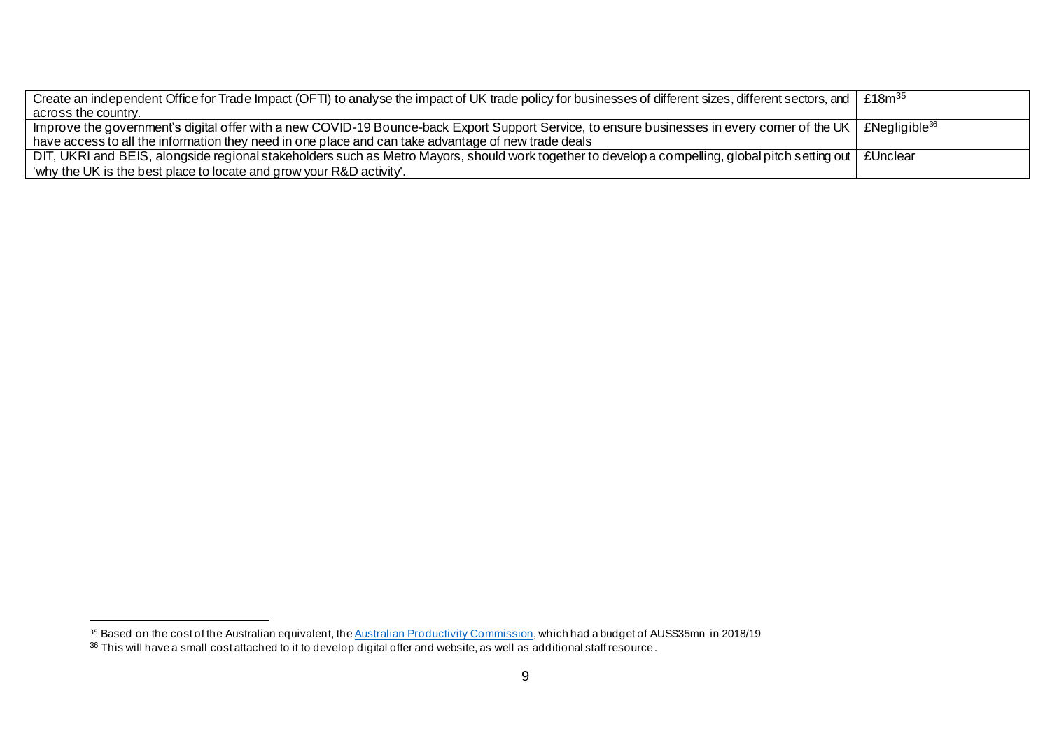| Create an independent Office for Trade Impact (OFTI) to analyse the impact of UK trade policy for businesses of different sizes, different sectors, and   £18m <sup>35</sup> |  |
|------------------------------------------------------------------------------------------------------------------------------------------------------------------------------|--|
| across the country.                                                                                                                                                          |  |
| Improve the government's digital offer with a new COVID-19 Bounce-back Export Support Service, to ensure businesses in every corner of the UK   £Negligible <sup>36</sup>    |  |
| have access to all the information they need in one place and can take advantage of new trade deals                                                                          |  |
| DIT, UKRI and BEIS, alongside regional stakeholders such as Metro Mayors, should work together to develop a compelling, global pitch setting out   £Unclear                  |  |
| 'why the UK is the best place to locate and grow your R&D activity'.                                                                                                         |  |

 $^\text{35}$  Based on the cost of the Australian equivalent, the <u>Australian Productivity Commission</u>, which had a budget of AUS\$35mn in 2018/19

 $^{36}$  This will have a small cost attached to it to develop digital offer and website, as well as additional staff resource.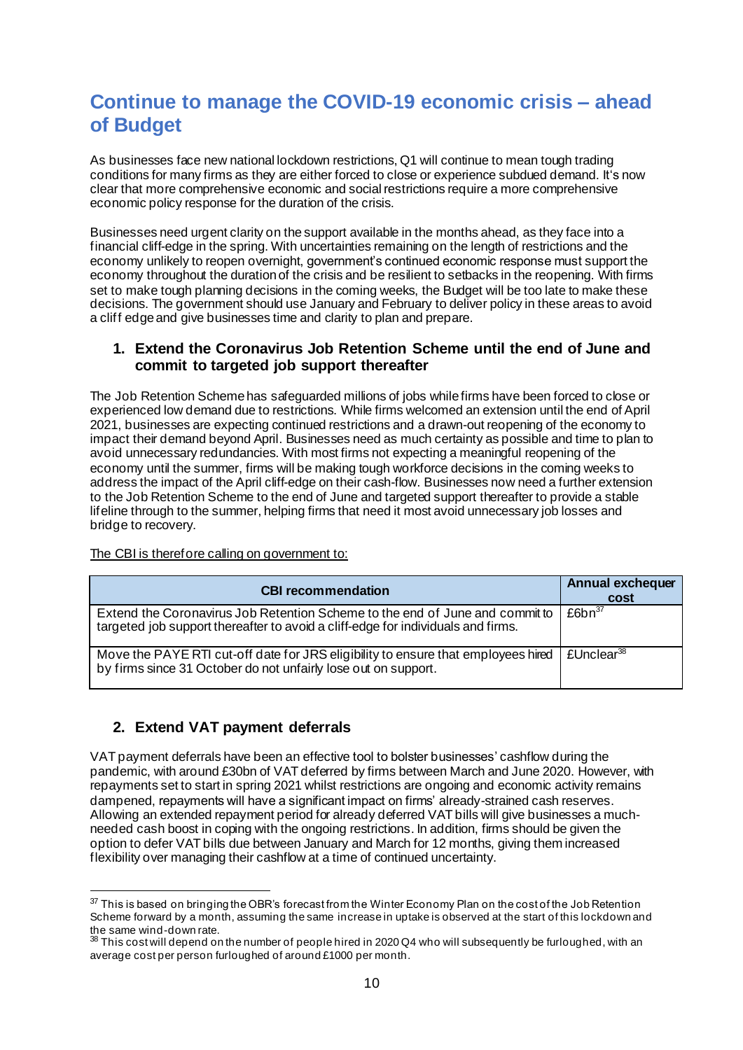# **Continue to manage the COVID-19 economic crisis – ahead of Budget**

As businesses face new national lockdown restrictions, Q1 will continue to mean tough trading conditions for many firms as they are either forced to close or experience subdued demand. It's now clear that more comprehensive economic and social restrictions require a more comprehensive economic policy response for the duration of the crisis.

Businesses need urgent clarity on the support available in the months ahead, as they face into a financial cliff-edge in the spring. With uncertainties remaining on the length of restrictions and the economy unlikely to reopen overnight, government's continued economic response must support the economy throughout the duration of the crisis and be resilient to setbacks in the reopening. With firms set to make tough planning decisions in the coming weeks, the Budget will be too late to make these decisions. The government should use January and February to deliver policy in these areas to avoid a cliff edge and give businesses time and clarity to plan and prepare.

### **1. Extend the Coronavirus Job Retention Scheme until the end of June and commit to targeted job support thereafter**

The Job Retention Scheme has safeguarded millions of jobs whilefirms have been forced to close or experienced low demand due to restrictions. While firms welcomed an extension until the end of April 2021, businesses are expecting continued restrictions and a drawn-out reopening of the economy to impact their demand beyond April. Businesses need as much certainty as possible and time to plan to avoid unnecessary redundancies. With most firms not expecting a meaningful reopening of the economy until the summer, firms will be making tough workforce decisions in the coming weeks to address the impact of the April cliff-edge on their cash-flow. Businesses now need a further extension to the Job Retention Scheme to the end of June and targeted support thereafter to provide a stable lifeline through to the summer, helping firms that need it most avoid unnecessary job losses and bridge to recovery.

The CBI is therefore calling on government to:

| <b>CBI recommendation</b>                                                                                                                                        | <b>Annual exchequer</b><br>cost |
|------------------------------------------------------------------------------------------------------------------------------------------------------------------|---------------------------------|
| Extend the Coronavirus Job Retention Scheme to the end of June and commit to<br>targeted job support thereafter to avoid a cliff-edge for individuals and firms. | $£6bn^{37}$                     |
| Move the PAYE RTI cut-off date for JRS eligibility to ensure that employees hired<br>by firms since 31 October do not unfairly lose out on support.              | £Unclear <sup>38</sup>          |

# **2. Extend VAT payment deferrals**

VAT payment deferrals have been an effective tool to bolster businesses' cashflow during the pandemic, with around £30bn of VAT deferred by firms between March and June 2020. However, with repayments set to start in spring 2021 whilst restrictions are ongoing and economic activity remains dampened, repayments will have a significant impact on firms' already-strained cash reserves. Allowing an extended repayment period for already deferred VAT bills will give businesses a muchneeded cash boost in coping with the ongoing restrictions. In addition, firms should be given the option to defer VAT bills due between January and March for 12 months, giving them increased flexibility over managing their cashflow at a time of continued uncertainty.

<sup>&</sup>lt;sup>37</sup> This is based on bringing the OBR's forecast from the Winter Economy Plan on the cost of the Job Retention Scheme forward by a month, assuming the same increase in uptake is observed at the start of this lockdown and the same wind-down rate.

 $38$  This cost will depend on the number of people hired in 2020 Q4 who will subsequently be furloughed, with an average cost per person furloughed of around £1000 per month.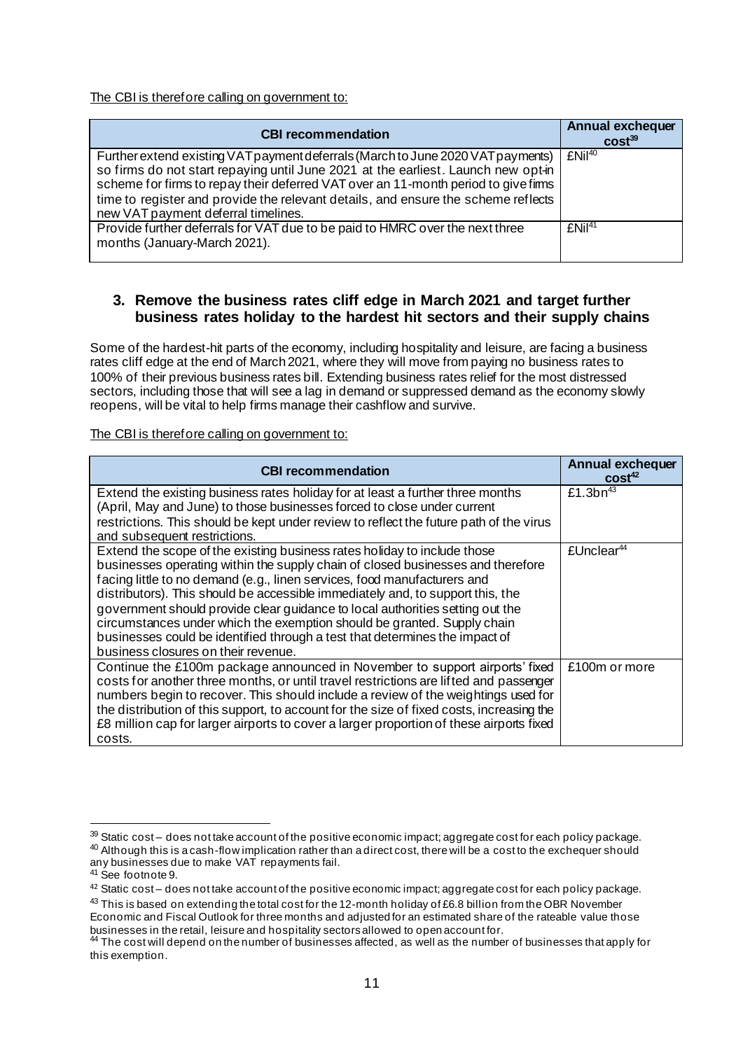The CBI is therefore calling on government to:

| <b>CBI recommendation</b>                                                                                                                                                                                                                                                                                                                                                              | <b>Annual exchequer</b><br>cost <sup>39</sup> |
|----------------------------------------------------------------------------------------------------------------------------------------------------------------------------------------------------------------------------------------------------------------------------------------------------------------------------------------------------------------------------------------|-----------------------------------------------|
| Further extend existing VAT payment deferrals (March to June 2020 VAT payments)<br>so firms do not start repaying until June 2021 at the earliest. Launch new opt-in<br>scheme for firms to repay their deferred VAT over an 11-month period to give firms<br>time to register and provide the relevant details, and ensure the scheme reflects<br>new VAT payment deferral timelines. | EMi <sup>40</sup>                             |
| Provide further deferrals for VAT due to be paid to HMRC over the next three<br>months (January-March 2021).                                                                                                                                                                                                                                                                           | EMi <sup>41</sup>                             |

## **3. Remove the business rates cliff edge in March 2021 and target further business rates holiday to the hardest hit sectors and their supply chains**

Some of the hardest-hit parts of the economy, including hospitality and leisure, are facing a business rates cliff edge at the end of March 2021, where they will move from paying no business rates to 100% of their previous business rates bill. Extending business rates relief for the most distressed sectors, including those that will see a lag in demand or suppressed demand as the economy slowly reopens, will be vital to help firms manage their cashflow and survive.

| <b>CBI recommendation</b>                                                                                                                                                                                                                                                                                                                                                                                                                                                                                                                                                                                   | Annual exchequer<br>cost <sup>42</sup> |
|-------------------------------------------------------------------------------------------------------------------------------------------------------------------------------------------------------------------------------------------------------------------------------------------------------------------------------------------------------------------------------------------------------------------------------------------------------------------------------------------------------------------------------------------------------------------------------------------------------------|----------------------------------------|
| Extend the existing business rates holiday for at least a further three months<br>(April, May and June) to those businesses forced to close under current<br>restrictions. This should be kept under review to reflect the future path of the virus<br>and subsequent restrictions.                                                                                                                                                                                                                                                                                                                         | £1.3 $bn^{43}$                         |
| Extend the scope of the existing business rates holiday to include those<br>businesses operating within the supply chain of closed businesses and therefore<br>facing little to no demand (e.g., linen services, food manufacturers and<br>distributors). This should be accessible immediately and, to support this, the<br>government should provide clear guidance to local authorities setting out the<br>circumstances under which the exemption should be granted. Supply chain<br>businesses could be identified through a test that determines the impact of<br>business closures on their revenue. | flInclear <sup>44</sup>                |
| Continue the £100m package announced in November to support airports' fixed<br>costs for another three months, or until travel restrictions are lifted and passenger<br>numbers begin to recover. This should include a review of the weightings used for<br>the distribution of this support, to account for the size of fixed costs, increasing the<br>£8 million cap for larger airports to cover a larger proportion of these airports fixed<br>costs.                                                                                                                                                  | £100m or more                          |

 $39$  Static cost – does not take account of the positive economic impact; aggregate cost for each policy package.  $^{40}$  Although this is a cash-flow implication rather than a direct cost, there will be a cost to the exchequer should any businesses due to make VAT repayments fail.

<sup>&</sup>lt;sup>41</sup> See footnote 9.

 $42$  Static cost – does not take account of the positive economic impact; aggregate cost for each policy package.

 $^{43}$  This is based on extending the total cost for the 12-month holiday of £6.8 billion from the OBR November Economic and Fiscal Outlook for three months and adjusted for an estimated share of the rateable value those businesses in the retail, leisure and hospitality sectors allowed to open account for.

<sup>44</sup> The cost will depend on the number of businesses affected, as well as the number of businesses that apply for this exemption.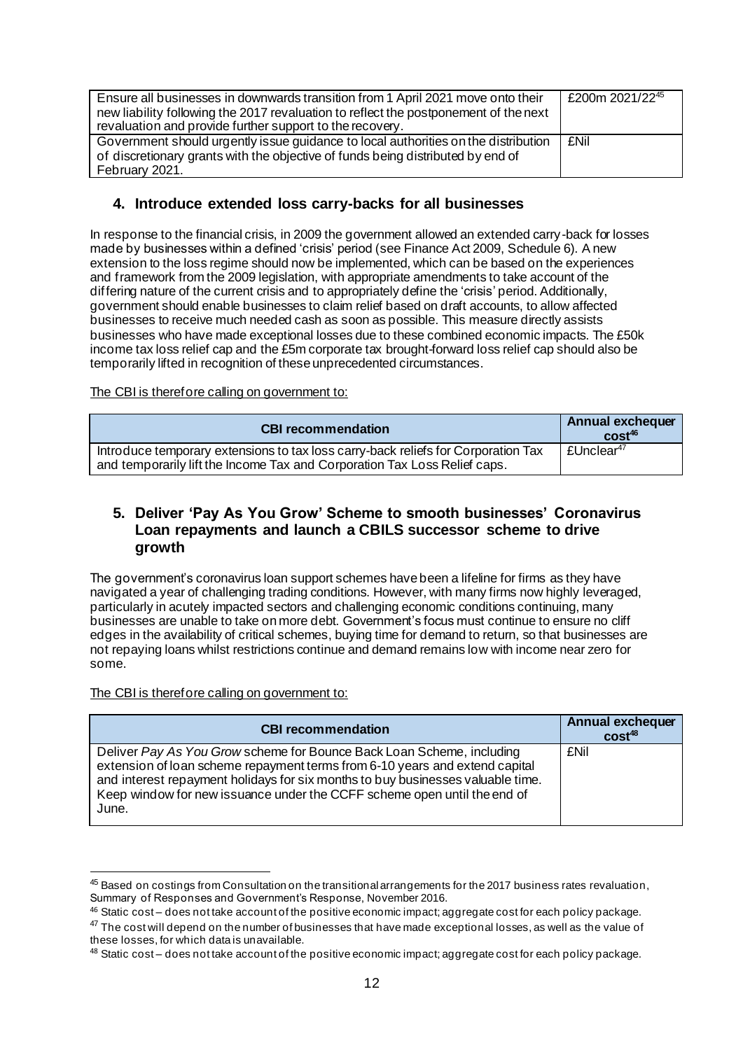| Ensure all businesses in downwards transition from 1 April 2021 move onto their      | £200m 2021/22 <sup>45</sup> |
|--------------------------------------------------------------------------------------|-----------------------------|
| new liability following the 2017 revaluation to reflect the postponement of the next |                             |
| revaluation and provide further support to the recovery.                             |                             |
| Government should urgently issue guidance to local authorities on the distribution   | <b>£Nil</b>                 |
| of discretionary grants with the objective of funds being distributed by end of      |                             |
| February 2021.                                                                       |                             |

## **4. Introduce extended loss carry-backs for all businesses**

In response to the financial crisis, in 2009 the government allowed an extended carry-back for losses made by businesses within a defined 'crisis' period (see Finance Act 2009, Schedule 6). A new extension to the loss regime should now be implemented, which can be based on the experiences and framework from the 2009 legislation, with appropriate amendments to take account of the differing nature of the current crisis and to appropriately define the 'crisis' period. Additionally, government should enable businesses to claim relief based on draft accounts, to allow affected businesses to receive much needed cash as soon as possible. This measure directly assists businesses who have made exceptional losses due to these combined economic impacts. The £50k income tax loss relief cap and the £5m corporate tax brought-forward loss relief cap should also be temporarily lifted in recognition of these unprecedented circumstances.

The CBI is therefore calling on government to:

| <b>CBI recommendation</b>                                                                                                                                      | Annual exchequer<br>$cost^{46}$ |
|----------------------------------------------------------------------------------------------------------------------------------------------------------------|---------------------------------|
| Introduce temporary extensions to tax loss carry-back reliefs for Corporation Tax<br>and temporarily lift the Income Tax and Corporation Tax Loss Relief caps. | £Unclear <sup>47</sup>          |

#### **5. Deliver 'Pay As You Grow' Scheme to smooth businesses' Coronavirus Loan repayments and launch a CBILS successor scheme to drive growth**

The government's coronavirus loan support schemes have been a lifeline for firms as they have navigated a year of challenging trading conditions. However, with many firms now highly leveraged, particularly in acutely impacted sectors and challenging economic conditions continuing, many businesses are unable to take on more debt. Government's focus must continue to ensure no cliff edges in the availability of critical schemes, buying time for demand to return, so that businesses are not repaying loans whilst restrictions continue and demand remains low with income near zero for some.

| <b>CBI recommendation</b>                                                                                                                                                                                                                                                                                                    | Annual exchequer<br>cost <sup>48</sup> |
|------------------------------------------------------------------------------------------------------------------------------------------------------------------------------------------------------------------------------------------------------------------------------------------------------------------------------|----------------------------------------|
| Deliver Pay As You Grow scheme for Bounce Back Loan Scheme, including<br>extension of loan scheme repayment terms from 6-10 years and extend capital<br>and interest repayment holidays for six months to buy businesses valuable time.<br>Keep window for new issuance under the CCFF scheme open until the end of<br>June. | <b>£Nil</b>                            |

<sup>45</sup> Based on costings from Consultation on the transitional arrangements for the 2017 business rates revaluation, Summary of Responses and Government's Response, November 2016.

<sup>46</sup> Static cost – does not take account of the positive economic impact; aggregate cost for each policy package.

<sup>&</sup>lt;sup>47</sup> The cost will depend on the number of businesses that have made exceptional losses, as well as the value of these losses, for which data is unavailable.

<sup>48</sup> Static cost – does not take account of the positive economic impact; aggregate cost for each policy package.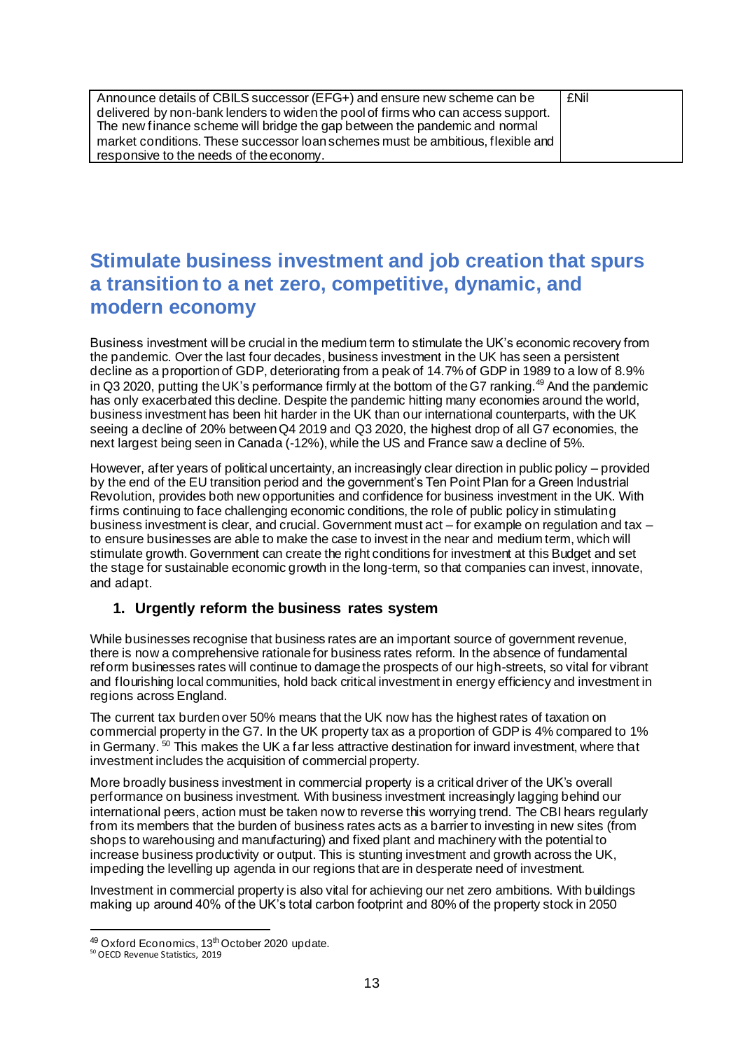Announce details of CBILS successor (EFG+) and ensure new scheme can be delivered by non-bank lenders to widen the pool of firms who can access support. The new finance scheme will bridge the gap between the pandemic and normal market conditions. These successor loan schemes must be ambitious, flexible and responsive to the needs of the economy. £Nil

# **Stimulate business investment and job creation that spurs a transition to a net zero, competitive, dynamic, and modern economy**

Business investment will be crucial in the medium term to stimulate the UK's economic recovery from the pandemic. Over the last four decades, business investment in the UK has seen a persistent decline as a proportion of GDP, deteriorating from a peak of 14.7% of GDP in 1989 to a low of 8.9% in Q3 2020, putting the UK's performance firmly at the bottom of the G7 ranking.<sup>49</sup> And the pandemic has only exacerbated this decline. Despite the pandemic hitting many economies around the world, business investment has been hit harder in the UK than our international counterparts, with the UK seeing a decline of 20% between Q4 2019 and Q3 2020, the highest drop of all G7 economies, the next largest being seen in Canada (-12%), while the US and France saw a decline of 5%.

However, after years of political uncertainty, an increasingly clear direction in public policy – provided by the end of the EU transition period and the government's Ten Point Plan for a Green Industrial Revolution, provides both new opportunities and confidence for business investment in the UK. With firms continuing to face challenging economic conditions, the role of public policy in stimulating business investment is clear, and crucial. Government must act – for example on regulation and tax – to ensure businesses are able to make the case to invest in the near and medium term, which will stimulate growth. Government can create the right conditions for investment at this Budget and set the stage for sustainable economic growth in the long-term, so that companies can invest, innovate, and adapt.

## **1. Urgently reform the business rates system**

While businesses recognise that business rates are an important source of government revenue, there is now a comprehensive rationale for business rates reform. In the absence of fundamental reform businesses rates will continue to damage the prospects of our high-streets, so vital for vibrant and flourishing local communities, hold back critical investment in energy efficiency and investment in regions across England.

The current tax burden over 50% means that the UK now has the highest rates of taxation on commercial property in the G7. In the UK property tax as a proportion of GDP is 4% compared to 1% in Germany. <sup>50</sup> This makes the UK a far less attractive destination for inward investment, where that investment includes the acquisition of commercial property.

More broadly business investment in commercial property is a critical driver of the UK's overall performance on business investment. With business investment increasingly lagging behind our international peers, action must be taken now to reverse this worrying trend. The CBI hears regularly from its members that the burden of business rates acts as a barrier to investing in new sites (from shops to warehousing and manufacturing) and fixed plant and machinery with the potential to increase business productivity or output. This is stunting investment and growth across the UK, impeding the levelling up agenda in our regions that are in desperate need of investment.

Investment in commercial property is also vital for achieving our net zero ambitions. With buildings making up around 40% of the UK's total carbon footprint and 80% of the property stock in 2050

<sup>49</sup> Oxford Economics, 13<sup>th</sup> October 2020 update.

<sup>50</sup> OECD Revenue Statistics, 2019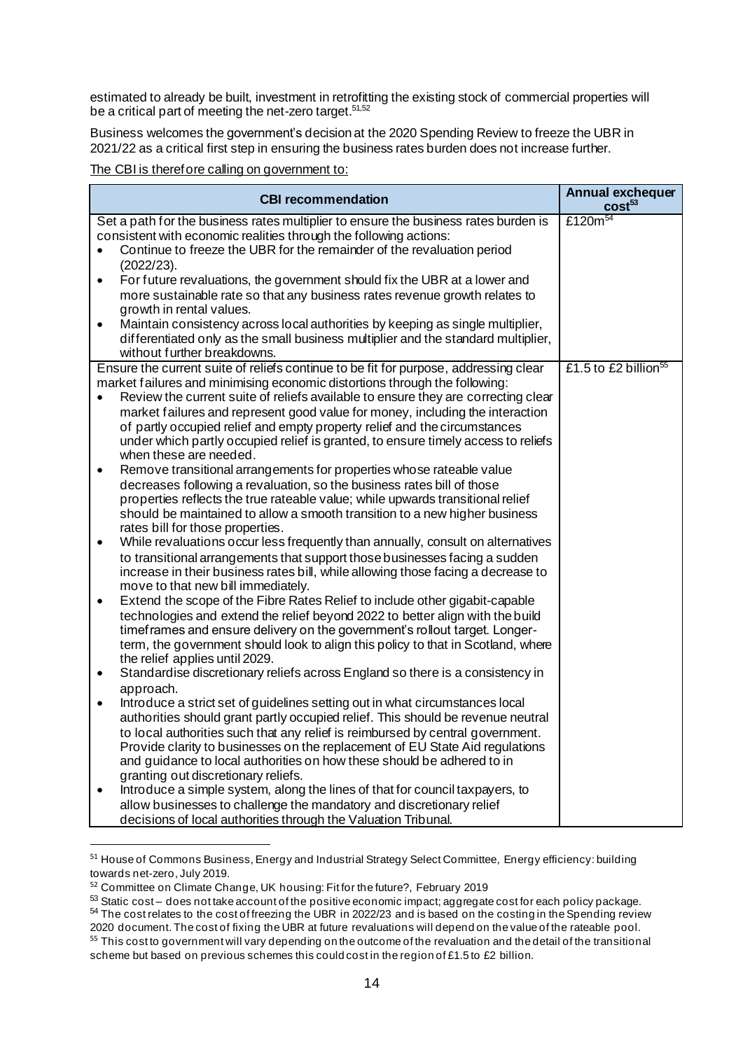estimated to already be built, investment in retrofitting the existing stock of commercial properties will be a critical part of meeting the net-zero target.<sup>51,52</sup>

Business welcomes the government's decision at the 2020 Spending Review to freeze the UBR in 2021/22 as a critical first step in ensuring the business rates burden does not increase further.

| <b>CBI recommendation</b>                                                                                          | <b>Annual exchequer</b><br>cost <sup>53</sup> |
|--------------------------------------------------------------------------------------------------------------------|-----------------------------------------------|
| Set a path for the business rates multiplier to ensure the business rates burden is                                | £120 $m^{54}$                                 |
| consistent with economic realities through the following actions:                                                  |                                               |
| Continue to freeze the UBR for the remainder of the revaluation period                                             |                                               |
| (2022/23).                                                                                                         |                                               |
| For future revaluations, the government should fix the UBR at a lower and<br>$\bullet$                             |                                               |
| more sustainable rate so that any business rates revenue growth relates to<br>growth in rental values.             |                                               |
| Maintain consistency across local authorities by keeping as single multiplier,<br>$\bullet$                        |                                               |
| differentiated only as the small business multiplier and the standard multiplier,                                  |                                               |
| without further breakdowns.                                                                                        |                                               |
| Ensure the current suite of reliefs continue to be fit for purpose, addressing clear                               | £1.5 to £2 billion <sup>55</sup>              |
| market failures and minimising economic distortions through the following:                                         |                                               |
| Review the current suite of reliefs available to ensure they are correcting clear                                  |                                               |
| market failures and represent good value for money, including the interaction                                      |                                               |
| of partly occupied relief and empty property relief and the circumstances                                          |                                               |
| under which partly occupied relief is granted, to ensure timely access to reliefs                                  |                                               |
| when these are needed.                                                                                             |                                               |
| Remove transitional arrangements for properties whose rateable value<br>$\bullet$                                  |                                               |
| decreases following a revaluation, so the business rates bill of those                                             |                                               |
| properties reflects the true rateable value; while upwards transitional relief                                     |                                               |
| should be maintained to allow a smooth transition to a new higher business                                         |                                               |
| rates bill for those properties.                                                                                   |                                               |
| While revaluations occur less frequently than annually, consult on alternatives<br>$\bullet$                       |                                               |
| to transitional arrangements that support those businesses facing a sudden                                         |                                               |
| increase in their business rates bill, while allowing those facing a decrease to                                   |                                               |
| move to that new bill immediately.                                                                                 |                                               |
| Extend the scope of the Fibre Rates Relief to include other gigabit-capable<br>$\bullet$                           |                                               |
| technologies and extend the relief beyond 2022 to better align with the build                                      |                                               |
| timeframes and ensure delivery on the government's rollout target. Longer-                                         |                                               |
| term, the government should look to align this policy to that in Scotland, where<br>the relief applies until 2029. |                                               |
| Standardise discretionary reliefs across England so there is a consistency in<br>٠                                 |                                               |
| approach.                                                                                                          |                                               |
| Introduce a strict set of guidelines setting out in what circumstances local<br>$\bullet$                          |                                               |
| authorities should grant partly occupied relief. This should be revenue neutral                                    |                                               |
| to local authorities such that any relief is reimbursed by central government.                                     |                                               |
| Provide clarity to businesses on the replacement of EU State Aid regulations                                       |                                               |
| and guidance to local authorities on how these should be adhered to in                                             |                                               |
| granting out discretionary reliefs.                                                                                |                                               |
| Introduce a simple system, along the lines of that for council taxpayers, to<br>$\bullet$                          |                                               |
| allow businesses to challenge the mandatory and discretionary relief                                               |                                               |
| decisions of local authorities through the Valuation Tribunal.                                                     |                                               |

<sup>&</sup>lt;sup>51</sup> House of Commons Business, Energy and Industrial Strategy Select Committee, Energy efficiency: building towards net-zero, July 2019.

- <sup>54</sup> The cost relates to the cost of freezing the UBR in 2022/23 and is based on the costing in the Spending review 2020 document. The cost of fixing the UBR at future revaluations will depend on the value of the rateable pool.
- 55 This cost to government will vary depending on the outcome of the revaluation and the detail of the transitional scheme but based on previous schemes this could cost in the region of £1.5 to £2 billion.

<sup>52</sup> Committee on Climate Change, UK housing: Fit for the future?, February 2019

 $53$  Static cost – does not take account of the positive economic impact; aggregate cost for each policy package.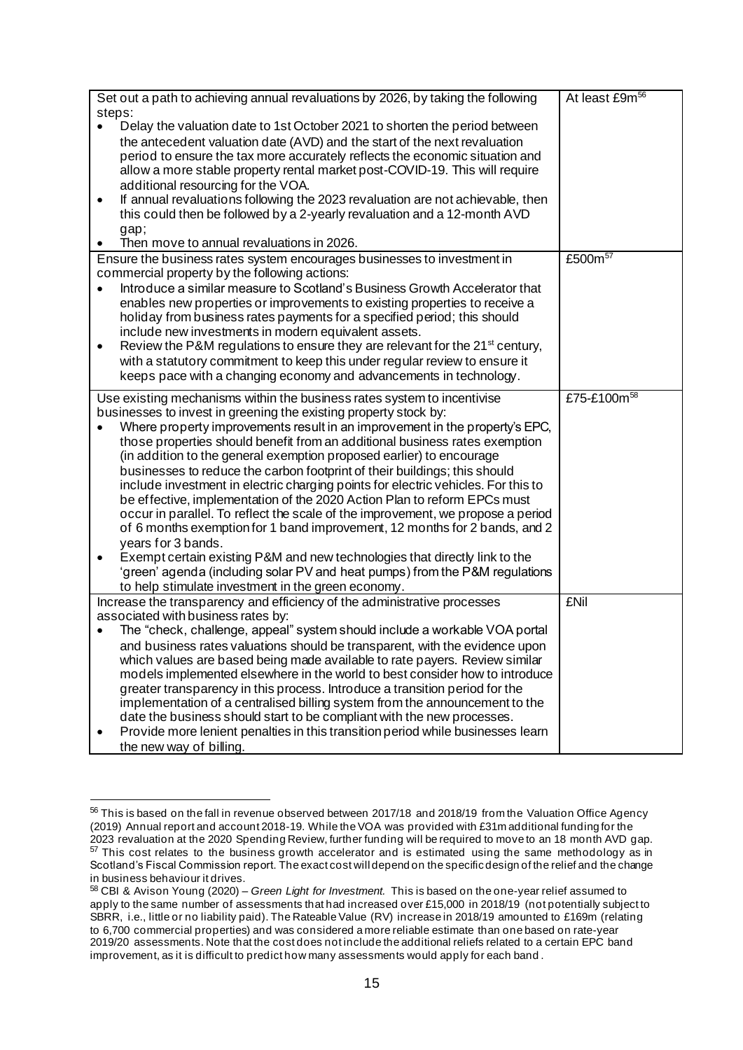|                                                                                            |           |                                                                                                                                                               | At least £9m <sup>56</sup> |
|--------------------------------------------------------------------------------------------|-----------|---------------------------------------------------------------------------------------------------------------------------------------------------------------|----------------------------|
| Set out a path to achieving annual revaluations by 2026, by taking the following<br>steps: |           |                                                                                                                                                               |                            |
|                                                                                            | $\bullet$ | Delay the valuation date to 1st October 2021 to shorten the period between                                                                                    |                            |
|                                                                                            |           | the antecedent valuation date (AVD) and the start of the next revaluation                                                                                     |                            |
|                                                                                            |           | period to ensure the tax more accurately reflects the economic situation and                                                                                  |                            |
|                                                                                            |           | allow a more stable property rental market post-COVID-19. This will require                                                                                   |                            |
|                                                                                            |           | additional resourcing for the VOA.                                                                                                                            |                            |
|                                                                                            | $\bullet$ | If annual revaluations following the 2023 revaluation are not achievable, then                                                                                |                            |
|                                                                                            |           | this could then be followed by a 2-yearly revaluation and a 12-month AVD                                                                                      |                            |
|                                                                                            |           | gap;                                                                                                                                                          |                            |
|                                                                                            |           | Then move to annual revaluations in 2026.                                                                                                                     |                            |
|                                                                                            |           | Ensure the business rates system encourages businesses to investment in                                                                                       | £500m <sup>57</sup>        |
|                                                                                            |           | commercial property by the following actions:                                                                                                                 |                            |
|                                                                                            |           | Introduce a similar measure to Scotland's Business Growth Accelerator that                                                                                    |                            |
|                                                                                            |           | enables new properties or improvements to existing properties to receive a                                                                                    |                            |
|                                                                                            |           | holiday from business rates payments for a specified period; this should                                                                                      |                            |
|                                                                                            |           | include new investments in modern equivalent assets.                                                                                                          |                            |
|                                                                                            | $\bullet$ | Review the P&M regulations to ensure they are relevant for the 21 <sup>st</sup> century,                                                                      |                            |
|                                                                                            |           | with a statutory commitment to keep this under regular review to ensure it                                                                                    |                            |
|                                                                                            |           | keeps pace with a changing economy and advancements in technology.                                                                                            |                            |
|                                                                                            |           | Use existing mechanisms within the business rates system to incentivise                                                                                       | £75-£100m <sup>58</sup>    |
|                                                                                            |           | businesses to invest in greening the existing property stock by:                                                                                              |                            |
|                                                                                            | $\bullet$ | Where property improvements result in an improvement in the property's EPC,                                                                                   |                            |
|                                                                                            |           | those properties should benefit from an additional business rates exemption                                                                                   |                            |
|                                                                                            |           | (in addition to the general exemption proposed earlier) to encourage                                                                                          |                            |
|                                                                                            |           | businesses to reduce the carbon footprint of their buildings; this should                                                                                     |                            |
|                                                                                            |           | include investment in electric charging points for electric vehicles. For this to<br>be effective, implementation of the 2020 Action Plan to reform EPCs must |                            |
|                                                                                            |           | occur in parallel. To reflect the scale of the improvement, we propose a period                                                                               |                            |
|                                                                                            |           | of 6 months exemption for 1 band improvement, 12 months for 2 bands, and 2                                                                                    |                            |
|                                                                                            |           | years for 3 bands.                                                                                                                                            |                            |
|                                                                                            | ٠         | Exempt certain existing P&M and new technologies that directly link to the                                                                                    |                            |
|                                                                                            |           | 'green' agenda (including solar PV and heat pumps) from the P&M regulations                                                                                   |                            |
|                                                                                            |           | to help stimulate investment in the green economy.                                                                                                            |                            |
|                                                                                            |           | Increase the transparency and efficiency of the administrative processes                                                                                      | <b>£Nil</b>                |
|                                                                                            |           | associated with business rates by:                                                                                                                            |                            |
|                                                                                            |           | The "check, challenge, appeal" system should include a workable VOA portal                                                                                    |                            |
|                                                                                            |           | and business rates valuations should be transparent, with the evidence upon                                                                                   |                            |
|                                                                                            |           | which values are based being made available to rate payers. Review similar                                                                                    |                            |
|                                                                                            |           | models implemented elsewhere in the world to best consider how to introduce                                                                                   |                            |
|                                                                                            |           | greater transparency in this process. Introduce a transition period for the                                                                                   |                            |
|                                                                                            |           | implementation of a centralised billing system from the announcement to the                                                                                   |                            |
|                                                                                            |           | date the business should start to be compliant with the new processes.                                                                                        |                            |
|                                                                                            | $\bullet$ | Provide more lenient penalties in this transition period while businesses learn                                                                               |                            |
|                                                                                            |           | the new way of billing.                                                                                                                                       |                            |

<sup>56</sup> This is based on the fall in revenue observed between 2017/18 and 2018/19 from the Valuation Office Agency (2019) Annual report and account 2018-19. While the VOA was provided with £31m additional funding for the 2023 revaluation at the 2020 Spending Review, further funding will be required to move to an 18 month AVD gap.  $57$  This cost relates to the business growth accelerator and is estimated using the same methodology as in

Scotland's Fiscal Commission report. The exact cost will depend on the specific design of the relief and the change in business behaviour it drives.

<sup>58</sup> CBI & Avison Young (2020) – *Green Light for Investment.* This is based on the one-year relief assumed to apply to the same number of assessments that had increased over £15,000 in 2018/19 (not potentially subject to SBRR, i.e., little or no liability paid). The Rateable Value (RV) increase in 2018/19 amounted to £169m (relating to 6,700 commercial properties) and was considered a more reliable estimate than one based on rate-year 2019/20 assessments. Note that the cost does not include the additional reliefs related to a certain EPC band improvement, as it is difficult to predict how many assessments would apply for each band .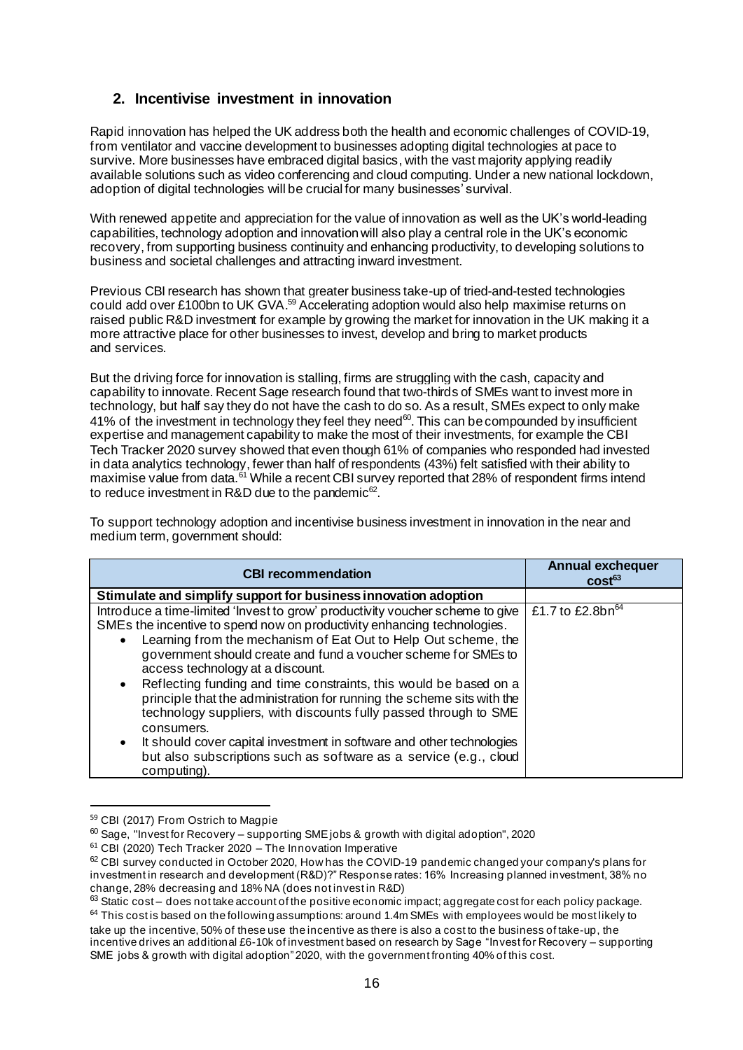# **2. Incentivise investment in innovation**

Rapid innovation has helped the UK address both the health and economic challenges of COVID-19, from ventilator and vaccine development to businesses adopting digital technologies at pace to survive. More businesses have embraced digital basics, with the vast majority applying readily available solutions such as video conferencing and cloud computing. Under a new national lockdown, adoption of digital technologies will be crucial for many businesses' survival.

With renewed appetite and appreciation for the value of innovation as well as the UK's world-leading capabilities, technology adoption and innovation will also play a central role in the UK's economic recovery, from supporting business continuity and enhancing productivity, to developing solutions to business and societal challenges and attracting inward investment.

Previous CBI research has shown that greater business take-up of tried-and-tested technologies could add over £100bn to UK GVA.<sup>59</sup> Accelerating adoption would also help maximise returns on raised public R&D investment for example by growing the market for innovation in the UK making it a more attractive place for other businesses to invest, develop and bring to market products and services.

But the driving force for innovation is stalling, firms are struggling with the cash, capacity and capability to innovate. Recent Sage research found that two-thirds of SMEs want to invest more in technology, but half say they do not have the cash to do so. As a result, SMEs expect to only make 41% of the investment in technology they feel they need<sup>60</sup>. This can be compounded by insufficient expertise and management capability to make the most of their investments, for example the CBI Tech Tracker 2020 survey showed that even though 61% of companies who responded had invested in data analytics technology, fewer than half of respondents (43%) felt satisfied with their ability to maximise value from data.<sup>61</sup> While a recent CBI survey reported that 28% of respondent firms intend to reduce investment in R&D due to the pandemic $^{62}$ .

To support technology adoption and incentivise business investment in innovation in the near and medium term, government should:

| <b>CBI recommendation</b>                                                                                                                                                                                                                                                                                                                                                                                                                                                                                                                                                                                                                                                                                                                                             | <b>Annual exchequer</b><br>$cost^{63}$ |
|-----------------------------------------------------------------------------------------------------------------------------------------------------------------------------------------------------------------------------------------------------------------------------------------------------------------------------------------------------------------------------------------------------------------------------------------------------------------------------------------------------------------------------------------------------------------------------------------------------------------------------------------------------------------------------------------------------------------------------------------------------------------------|----------------------------------------|
| Stimulate and simplify support for business innovation adoption                                                                                                                                                                                                                                                                                                                                                                                                                                                                                                                                                                                                                                                                                                       |                                        |
| Introduce a time-limited 'Invest to grow' productivity voucher scheme to give<br>SMEs the incentive to spend now on productivity enhancing technologies.<br>Learning from the mechanism of Eat Out to Help Out scheme, the<br>$\bullet$<br>government should create and fund a voucher scheme for SMEs to<br>access technology at a discount.<br>Reflecting funding and time constraints, this would be based on a<br>$\bullet$<br>principle that the administration for running the scheme sits with the<br>technology suppliers, with discounts fully passed through to SME<br>consumers.<br>It should cover capital investment in software and other technologies<br>$\bullet$<br>but also subscriptions such as software as a service (e.g., cloud<br>computing). | £1.7 to £2.8bn <sup>64</sup>           |

<sup>59</sup> CBI (2017) From Ostrich to Magpie

 $60$  Sage, "Invest for Recovery – supporting SME jobs & growth with digital adoption", 2020

<sup>61</sup> CBI (2020) Tech Tracker 2020 – The Innovation Imperative

 $62$  CBI survey conducted in October 2020. How has the COVID-19 pandemic changed your company's plans for investment in research and development (R&D)?" Response rates: 16% Increasing planned investment, 38% no change, 28% decreasing and 18% NA (does not invest in R&D)

 $63$  Static cost – does not take account of the positive economic impact; aggregate cost for each policy package.  $64$  This cost is based on the following assumptions: around 1.4m SMEs with employees would be most likely to

take up the incentive, 50% of these use the incentive as there is also a cost to the business of take-up, the incentive drives an additional £6-10k of investment based on research by Sage "Invest for Recovery – supporting SME jobs & growth with digital adoption" 2020, with the government fronting 40% of this cost.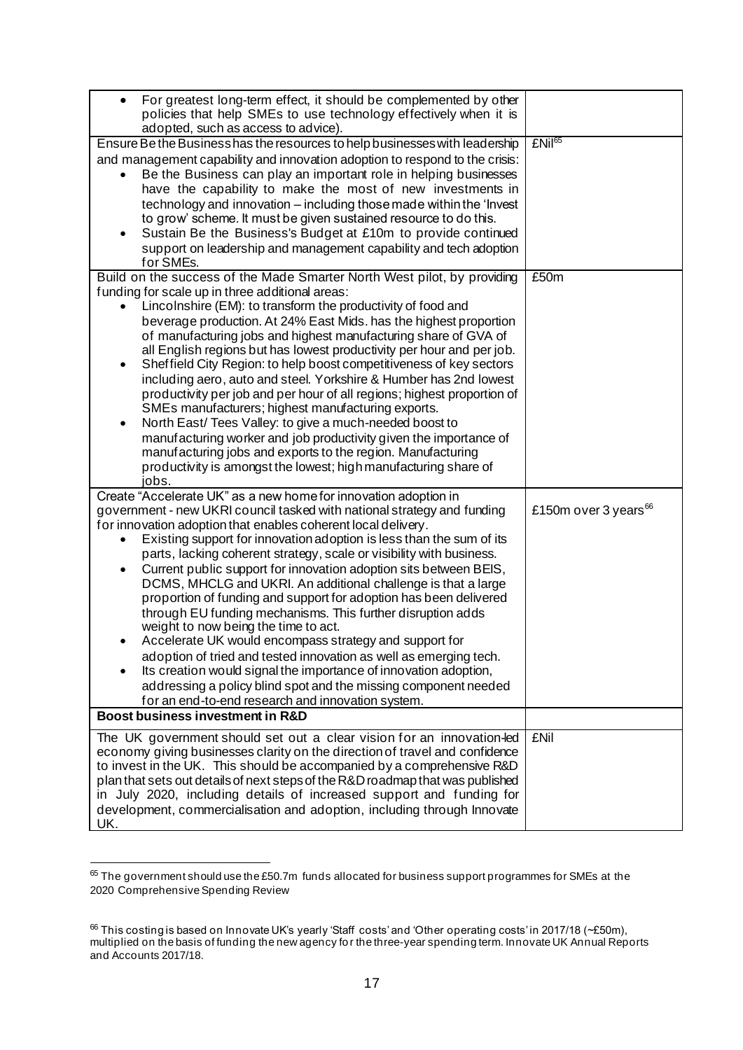| For greatest long-term effect, it should be complemented by other<br>$\bullet$<br>policies that help SMEs to use technology effectively when it is                                                                             |                                  |
|--------------------------------------------------------------------------------------------------------------------------------------------------------------------------------------------------------------------------------|----------------------------------|
| adopted, such as access to advice).                                                                                                                                                                                            |                                  |
| Ensure Be the Business has the resources to help businesses with leadership<br>and management capability and innovation adoption to respond to the crisis:<br>Be the Business can play an important role in helping businesses | £Nil <sup>65</sup>               |
| have the capability to make the most of new investments in<br>technology and innovation – including those made within the 'Invest                                                                                              |                                  |
| to grow' scheme. It must be given sustained resource to do this.                                                                                                                                                               |                                  |
| Sustain Be the Business's Budget at £10m to provide continued<br>support on leadership and management capability and tech adoption<br>for SMEs.                                                                                |                                  |
| Build on the success of the Made Smarter North West pilot, by providing                                                                                                                                                        | £50m                             |
| funding for scale up in three additional areas:<br>Lincolnshire (EM): to transform the productivity of food and                                                                                                                |                                  |
| beverage production. At 24% East Mids. has the highest proportion<br>of manufacturing jobs and highest manufacturing share of GVA of                                                                                           |                                  |
| all English regions but has lowest productivity per hour and per job.<br>Sheffield City Region: to help boost competitiveness of key sectors<br>٠                                                                              |                                  |
| including aero, auto and steel. Yorkshire & Humber has 2nd lowest<br>productivity per job and per hour of all regions; highest proportion of                                                                                   |                                  |
| SMEs manufacturers; highest manufacturing exports.                                                                                                                                                                             |                                  |
| North East/ Tees Valley: to give a much-needed boost to<br>$\bullet$<br>manufacturing worker and job productivity given the importance of                                                                                      |                                  |
| manufacturing jobs and exports to the region. Manufacturing<br>productivity is amongst the lowest; high manufacturing share of                                                                                                 |                                  |
| jobs.                                                                                                                                                                                                                          |                                  |
| Create "Accelerate UK" as a new home for innovation adoption in<br>government - new UKRI council tasked with national strategy and funding                                                                                     | £150m over 3 years <sup>66</sup> |
| for innovation adoption that enables coherent local delivery.<br>Existing support for innovation adoption is less than the sum of its<br>$\bullet$                                                                             |                                  |
| parts, lacking coherent strategy, scale or visibility with business.<br>Current public support for innovation adoption sits between BEIS,<br>٠                                                                                 |                                  |
| DCMS, MHCLG and UKRI. An additional challenge is that a large<br>proportion of funding and support for adoption has been delivered                                                                                             |                                  |
| through EU funding mechanisms. This further disruption adds<br>weight to now being the time to act.                                                                                                                            |                                  |
| Accelerate UK would encompass strategy and support for                                                                                                                                                                         |                                  |
| adoption of tried and tested innovation as well as emerging tech.<br>Its creation would signal the importance of innovation adoption,                                                                                          |                                  |
| addressing a policy blind spot and the missing component needed<br>for an end-to-end research and innovation system.                                                                                                           |                                  |
| Boost business investment in R&D                                                                                                                                                                                               |                                  |
| The UK government should set out a clear vision for an innovation-led<br>economy giving businesses clarity on the direction of travel and confidence                                                                           | <b>£Nil</b>                      |
| to invest in the UK. This should be accompanied by a comprehensive R&D<br>plan that sets out details of next steps of the R&D roadmap that was published                                                                       |                                  |
| in July 2020, including details of increased support and funding for<br>development, commercialisation and adoption, including through Innovate                                                                                |                                  |
| UK.                                                                                                                                                                                                                            |                                  |

 $65$  The government should use the £50.7m funds allocated for business support programmes for SMEs at the 2020 Comprehensive Spending Review

 $66$  This costing is based on Innovate UK's yearly 'Staff costs' and 'Other operating costs' in 2017/18 (~£50m), multiplied on the basis of funding the new agency fo r the three-year spending term. Innovate UK Annual Reports and Accounts 2017/18.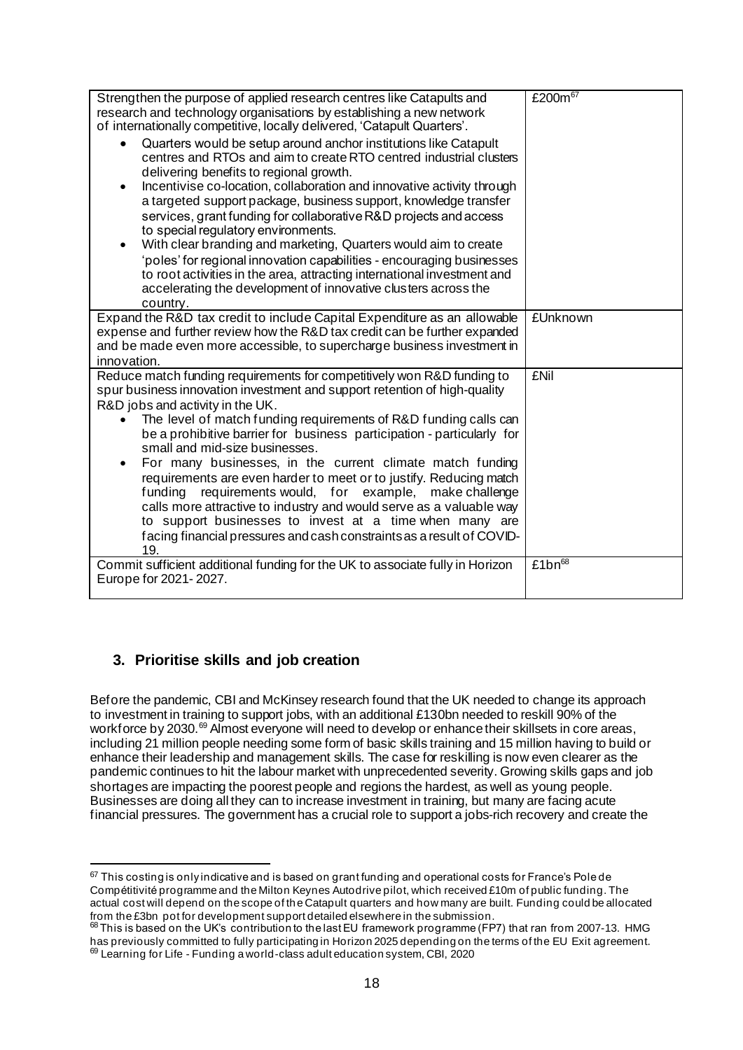| Strengthen the purpose of applied research centres like Catapults and               | £200 $\overline{m}$ <sup>67</sup> |
|-------------------------------------------------------------------------------------|-----------------------------------|
| research and technology organisations by establishing a new network                 |                                   |
| of internationally competitive, locally delivered, 'Catapult Quarters'.             |                                   |
| Quarters would be setup around anchor institutions like Catapult                    |                                   |
| centres and RTOs and aim to create RTO centred industrial clusters                  |                                   |
| delivering benefits to regional growth.                                             |                                   |
| Incentivise co-location, collaboration and innovative activity through<br>$\bullet$ |                                   |
| a targeted support package, business support, knowledge transfer                    |                                   |
| services, grant funding for collaborative R&D projects and access                   |                                   |
| to special regulatory environments.                                                 |                                   |
| With clear branding and marketing, Quarters would aim to create<br>$\bullet$        |                                   |
| 'poles' for regional innovation capabilities - encouraging businesses               |                                   |
| to root activities in the area, attracting international investment and             |                                   |
| accelerating the development of innovative clusters across the                      |                                   |
| country.                                                                            |                                   |
| Expand the R&D tax credit to include Capital Expenditure as an allowable            | £Unknown                          |
| expense and further review how the R&D tax credit can be further expanded           |                                   |
| and be made even more accessible, to supercharge business investment in             |                                   |
| innovation.                                                                         |                                   |
| Reduce match funding requirements for competitively won R&D funding to              | <b>£Nil</b>                       |
| spur business innovation investment and support retention of high-quality           |                                   |
| R&D jobs and activity in the UK.                                                    |                                   |
| The level of match funding requirements of R&D funding calls can                    |                                   |
| be a prohibitive barrier for business participation - particularly for              |                                   |
| small and mid-size businesses.                                                      |                                   |
| For many businesses, in the current climate match funding<br>$\bullet$              |                                   |
| requirements are even harder to meet or to justify. Reducing match                  |                                   |
| requirements would, for example, make challenge<br>funding                          |                                   |
| calls more attractive to industry and would serve as a valuable way                 |                                   |
| to support businesses to invest at a time when many are                             |                                   |
| facing financial pressures and cash constraints as a result of COVID-<br>19.        |                                   |
| Commit sufficient additional funding for the UK to associate fully in Horizon       | £1 $bn^{68}$                      |
| Europe for 2021-2027.                                                               |                                   |
|                                                                                     |                                   |

# **3. Prioritise skills and job creation**

Before the pandemic, CBI and McKinsey research found that the UK needed to change its approach to investment in training to support jobs, with an additional £130bn needed to reskill 90% of the workforce by 2030.<sup>69</sup> Almost everyone will need to develop or enhance their skillsets in core areas, including 21 million people needing some form of basic skills training and 15 million having to build or enhance their leadership and management skills. The case for reskilling is now even clearer as the pandemic continues to hit the labour market with unprecedented severity. Growing skills gaps and job shortages are impacting the poorest people and regions the hardest, as well as young people. Businesses are doing all they can to increase investment in training, but many are facing acute financial pressures. The government has a crucial role to support a jobs-rich recovery and create the

 $67$  This costing is only indicative and is based on grant funding and operational costs for France's Pole de Compétitivité programme and the Milton Keynes Autodrive pilot, which received £10m of public funding. The actual cost will depend on the scope of the Catapult quarters and how many are built. Funding could be allocated from the £3bn pot for development support detailed elsewhere in the submission.

 $68$  This is based on the UK's contribution to the last EU framework programme (FP7) that ran from 2007-13. HMG has previously committed to fully participating in Horizon 2025 depending on the terms of the EU Exit agreement.  $69$  Learning for Life - Funding a world-class adult education system, CBI, 2020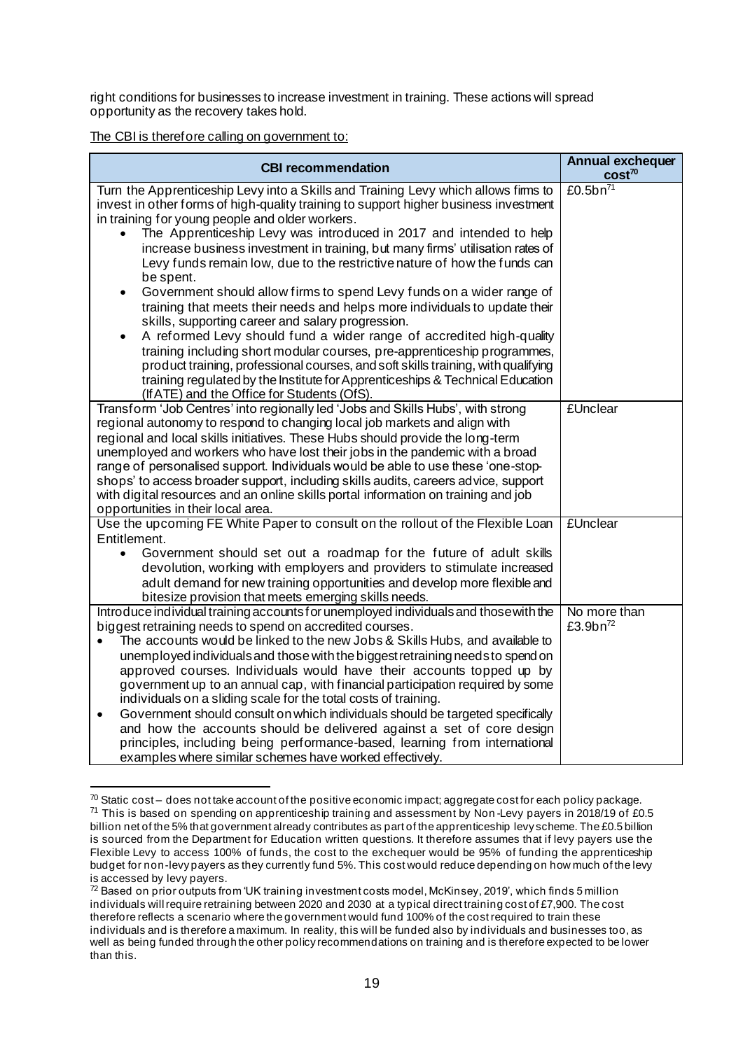right conditions for businesses to increase investment in training. These actions will spread opportunity as the recovery takes hold.

| <b>CBI recommendation</b>                                                                                                                                                                                                                                                                                                                                                                                                                                                                                                                                                                                                                                                                                                                                                                                                                                                                                                                                                                                                                                                          | <b>Annual exchequer</b><br>$cost^{70}$ |
|------------------------------------------------------------------------------------------------------------------------------------------------------------------------------------------------------------------------------------------------------------------------------------------------------------------------------------------------------------------------------------------------------------------------------------------------------------------------------------------------------------------------------------------------------------------------------------------------------------------------------------------------------------------------------------------------------------------------------------------------------------------------------------------------------------------------------------------------------------------------------------------------------------------------------------------------------------------------------------------------------------------------------------------------------------------------------------|----------------------------------------|
| Turn the Apprenticeship Levy into a Skills and Training Levy which allows firms to<br>invest in other forms of high-quality training to support higher business investment<br>in training for young people and older workers.<br>The Apprenticeship Levy was introduced in 2017 and intended to help<br>increase business investment in training, but many firms' utilisation rates of<br>Levy funds remain low, due to the restrictive nature of how the funds can<br>be spent.<br>Government should allow firms to spend Levy funds on a wider range of<br>$\bullet$<br>training that meets their needs and helps more individuals to update their<br>skills, supporting career and salary progression.<br>A reformed Levy should fund a wider range of accredited high-quality<br>training including short modular courses, pre-apprenticeship programmes,<br>product training, professional courses, and soft skills training, with qualifying<br>training regulated by the Institute for Apprenticeships & Technical Education<br>(If ATE) and the Office for Students (OfS). | £0.5b $n^{71}$                         |
| Transform 'Job Centres' into regionally led 'Jobs and Skills Hubs', with strong<br>regional autonomy to respond to changing local job markets and align with<br>regional and local skills initiatives. These Hubs should provide the long-term<br>unemployed and workers who have lost their jobs in the pandemic with a broad<br>range of personalised support. Individuals would be able to use these 'one-stop-<br>shops' to access broader support, including skills audits, careers advice, support<br>with digital resources and an online skills portal information on training and job<br>opportunities in their local area.                                                                                                                                                                                                                                                                                                                                                                                                                                               | <b>£Unclear</b>                        |
| Use the upcoming FE White Paper to consult on the rollout of the Flexible Loan<br>Entitlement.<br>Government should set out a roadmap for the future of adult skills<br>$\bullet$<br>devolution, working with employers and providers to stimulate increased<br>adult demand for new training opportunities and develop more flexible and<br>bitesize provision that meets emerging skills needs.                                                                                                                                                                                                                                                                                                                                                                                                                                                                                                                                                                                                                                                                                  | <b>£Unclear</b>                        |
| Introduce individual training accounts for unemployed individuals and those with the<br>biggest retraining needs to spend on accredited courses.<br>The accounts would be linked to the new Jobs & Skills Hubs, and available to<br>unemployed individuals and those with the biggest retraining needs to spend on<br>approved courses. Individuals would have their accounts topped up by<br>government up to an annual cap, with financial participation required by some<br>individuals on a sliding scale for the total costs of training.<br>Government should consult on which individuals should be targeted specifically<br>$\bullet$<br>and how the accounts should be delivered against a set of core design<br>principles, including being performance-based, learning from international<br>examples where similar schemes have worked effectively.                                                                                                                                                                                                                    | No more than<br>£3.9b $n^{72}$         |

 $70$  Static cost – does not take account of the positive economic impact; aggregate cost for each policy package.  $71$  This is based on spending on apprenticeship training and assessment by Non-Levy payers in 2018/19 of £0.5 billion net of the 5% that government already contributes as part of the apprenticeship levy scheme. The £0.5 billion is sourced from the Department for Education written questions. It therefore assumes that if levy payers use the Flexible Levy to access 100% of funds, the cost to the exchequer would be 95% of funding the apprenticeship budget for non-levy payers as they currently fund 5%. This cost would reduce depending on how much of the levy is accessed by levy payers.

<sup>72</sup> Based on prior outputs from 'UK training investment costs model, McKinsey, 2019', which finds 5 million individuals will require retraining between 2020 and 2030 at a typical direct training cost of £7,900. The cost therefore reflects a scenario where the government would fund 100% of the cost required to train these individuals and is therefore a maximum. In reality, this will be funded also by individuals and businesses too, as well as being funded through the other policy recommendations on training and is therefore expected to be lower than this.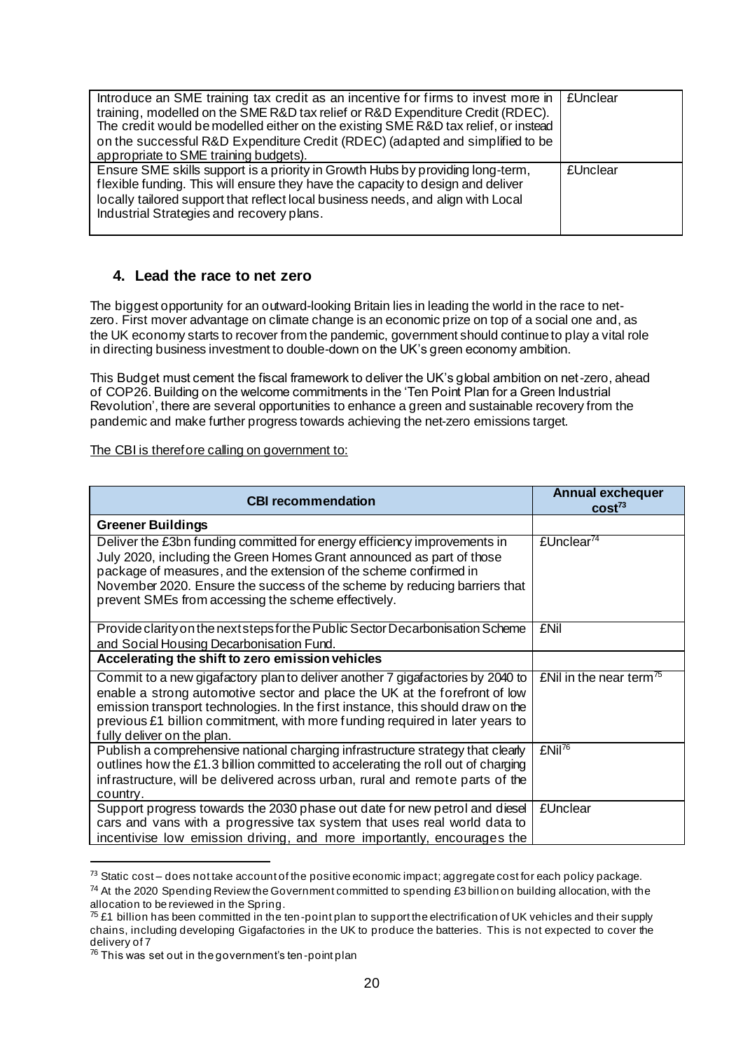| Introduce an SME training tax credit as an incentive for firms to invest more in<br>training, modelled on the SME R&D tax relief or R&D Expenditure Credit (RDEC).<br>The credit would be modelled either on the existing SME R&D tax relief, or instead<br>on the successful R&D Expenditure Credit (RDEC) (adapted and simplified to be<br>appropriate to SME training budgets). | <b>£Unclear</b>   |
|------------------------------------------------------------------------------------------------------------------------------------------------------------------------------------------------------------------------------------------------------------------------------------------------------------------------------------------------------------------------------------|-------------------|
| Ensure SME skills support is a priority in Growth Hubs by providing long-term,<br>flexible funding. This will ensure they have the capacity to design and deliver<br>locally tailored support that reflect local business needs, and align with Local<br>Industrial Strategies and recovery plans.                                                                                 | <b>fl</b> Inclear |

#### **4. Lead the race to net zero**

The biggest opportunity for an outward-looking Britain lies in leading the world in the race to netzero. First mover advantage on climate change is an economic prize on top of a social one and, as the UK economy starts to recover from the pandemic, government should continue to play a vital role in directing business investment to double-down on the UK's green economy ambition.

This Budget must cement the fiscal framework to deliver the UK's global ambition on net-zero, ahead of COP26. Building on the welcome commitments in the 'Ten Point Plan for a Green Industrial Revolution', there are several opportunities to enhance a green and sustainable recovery from the pandemic and make further progress towards achieving the net-zero emissions target.

| <b>CBI recommendation</b>                                                                                                                                                                                                                                                                                                                                     | <b>Annual exchequer</b><br>cost <sup>73</sup> |
|---------------------------------------------------------------------------------------------------------------------------------------------------------------------------------------------------------------------------------------------------------------------------------------------------------------------------------------------------------------|-----------------------------------------------|
| <b>Greener Buildings</b>                                                                                                                                                                                                                                                                                                                                      |                                               |
| Deliver the £3bn funding committed for energy efficiency improvements in<br>July 2020, including the Green Homes Grant announced as part of those<br>package of measures, and the extension of the scheme confirmed in<br>November 2020. Ensure the success of the scheme by reducing barriers that<br>prevent SMEs from accessing the scheme effectively.    | £Unclear <sup>74</sup>                        |
| Provide clarity on the next steps for the Public Sector Decarbonisation Scheme<br>and Social Housing Decarbonisation Fund.                                                                                                                                                                                                                                    | <b>£Nil</b>                                   |
| Accelerating the shift to zero emission vehicles                                                                                                                                                                                                                                                                                                              |                                               |
| Commit to a new gigafactory plan to deliver another 7 gigafactories by 2040 to<br>enable a strong automotive sector and place the UK at the forefront of low<br>emission transport technologies. In the first instance, this should draw on the<br>previous £1 billion commitment, with more funding required in later years to<br>fully deliver on the plan. | £Nil in the near term $^{75}$                 |
| Publish a comprehensive national charging infrastructure strategy that clearly<br>outlines how the £1.3 billion committed to accelerating the roll out of charging<br>infrastructure, will be delivered across urban, rural and remote parts of the<br>country.                                                                                               | £Nil <sup>76</sup>                            |
| Support progress towards the 2030 phase out date for new petrol and diesel<br>cars and vans with a progressive tax system that uses real world data to<br>incentivise low emission driving, and more importantly, encourages the                                                                                                                              | <b>£Unclear</b>                               |

 $73$  Static cost – does not take account of the positive economic impact; aggregate cost for each policy package.

<sup>&</sup>lt;sup>74</sup> At the 2020 Spending Review the Government committed to spending £3 billion on building allocation, with the allocation to be reviewed in the Spring.

 $75$  £1 billion has been committed in the ten-point plan to support the electrification of UK vehicles and their supply chains, including developing Gigafactories in the UK to produce the batteries. This is not expected to cover the delivery of 7

 $^{76}$  This was set out in the government's ten-point plan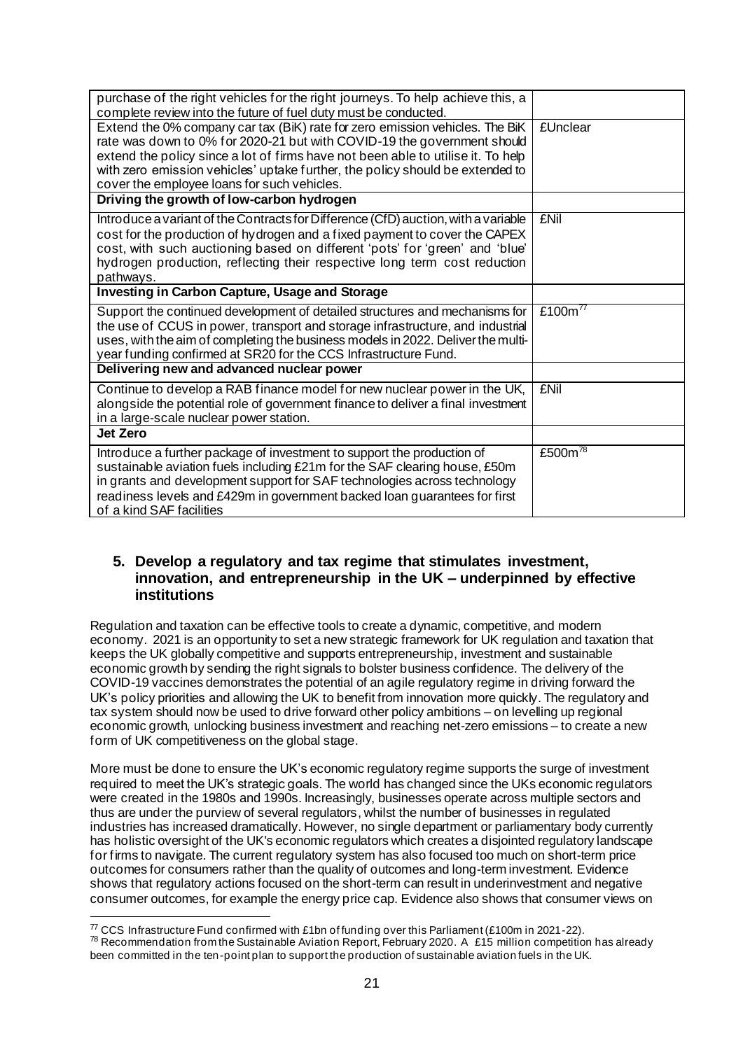| purchase of the right vehicles for the right journeys. To help achieve this, a<br>complete review into the future of fuel duty must be conducted.                                                                                                                                                                                                                           |                     |
|-----------------------------------------------------------------------------------------------------------------------------------------------------------------------------------------------------------------------------------------------------------------------------------------------------------------------------------------------------------------------------|---------------------|
| Extend the 0% company car tax (BiK) rate for zero emission vehicles. The BiK<br>rate was down to 0% for 2020-21 but with COVID-19 the government should<br>extend the policy since a lot of firms have not been able to utilise it. To help<br>with zero emission vehicles' uptake further, the policy should be extended to<br>cover the employee loans for such vehicles. | £Unclear            |
| Driving the growth of low-carbon hydrogen                                                                                                                                                                                                                                                                                                                                   |                     |
| Introduce a variant of the Contracts for Difference (CfD) auction, with a variable<br>cost for the production of hydrogen and a fixed payment to cover the CAPEX<br>cost, with such auctioning based on different 'pots' for 'green' and 'blue'<br>hydrogen production, reflecting their respective long term cost reduction<br>pathways.                                   | <b>£Nil</b>         |
| Investing in Carbon Capture, Usage and Storage                                                                                                                                                                                                                                                                                                                              |                     |
| Support the continued development of detailed structures and mechanisms for<br>the use of CCUS in power, transport and storage infrastructure, and industrial<br>uses, with the aim of completing the business models in 2022. Deliver the multi-<br>year funding confirmed at SR20 for the CCS Infrastructure Fund.                                                        | £100 $m^{77}$       |
| Delivering new and advanced nuclear power                                                                                                                                                                                                                                                                                                                                   |                     |
| Continue to develop a RAB finance model for new nuclear power in the UK,<br>alongside the potential role of government finance to deliver a final investment<br>in a large-scale nuclear power station.                                                                                                                                                                     | £Nil                |
| Jet Zero                                                                                                                                                                                                                                                                                                                                                                    |                     |
| Introduce a further package of investment to support the production of<br>sustainable aviation fuels including £21m for the SAF clearing house, £50m<br>in grants and development support for SAF technologies across technology<br>readiness levels and £429m in government backed loan guarantees for first<br>of a kind SAF facilities                                   | £500m <sup>78</sup> |

#### **5. Develop a regulatory and tax regime that stimulates investment, innovation, and entrepreneurship in the UK – underpinned by effective institutions**

Regulation and taxation can be effective tools to create a dynamic, competitive, and modern economy. 2021 is an opportunity to set a new strategic framework for UK regulation and taxation that keeps the UK globally competitive and supports entrepreneurship, investment and sustainable economic growth by sending the right signals to bolster business confidence. The delivery of the COVID-19 vaccines demonstrates the potential of an agile regulatory regime in driving forward the UK's policy priorities and allowing the UK to benefit from innovation more quickly. The regulatory and tax system should now be used to drive forward other policy ambitions – on levelling up regional economic growth, unlocking business investment and reaching net-zero emissions – to create a new form of UK competitiveness on the global stage.

More must be done to ensure the UK's economic regulatory regime supports the surge of investment required to meet the UK's strategic goals. The world has changed since the UKs economic regulators were created in the 1980s and 1990s. Increasingly, businesses operate across multiple sectors and thus are under the purview of several regulators, whilst the number of businesses in regulated industries has increased dramatically. However, no single department or parliamentary body currently has holistic oversight of the UK's economic regulators which creates a disjointed regulatory landscape for firms to navigate. The current regulatory system has also focused too much on short-term price outcomes for consumers rather than the quality of outcomes and long-term investment. Evidence shows that regulatory actions focused on the short-term can result in underinvestment and negative consumer outcomes, for example the energy price cap. Evidence also shows that consumer views on

 $77$  CCS Infrastructure Fund confirmed with £1bn of funding over this Parliament (£100m in 2021-22).  $78$  Recommendation from the Sustainable Aviation Report, February 2020. A £15 million competition has already been committed in the ten-point plan to support the production of sustainable aviation fuels in the UK.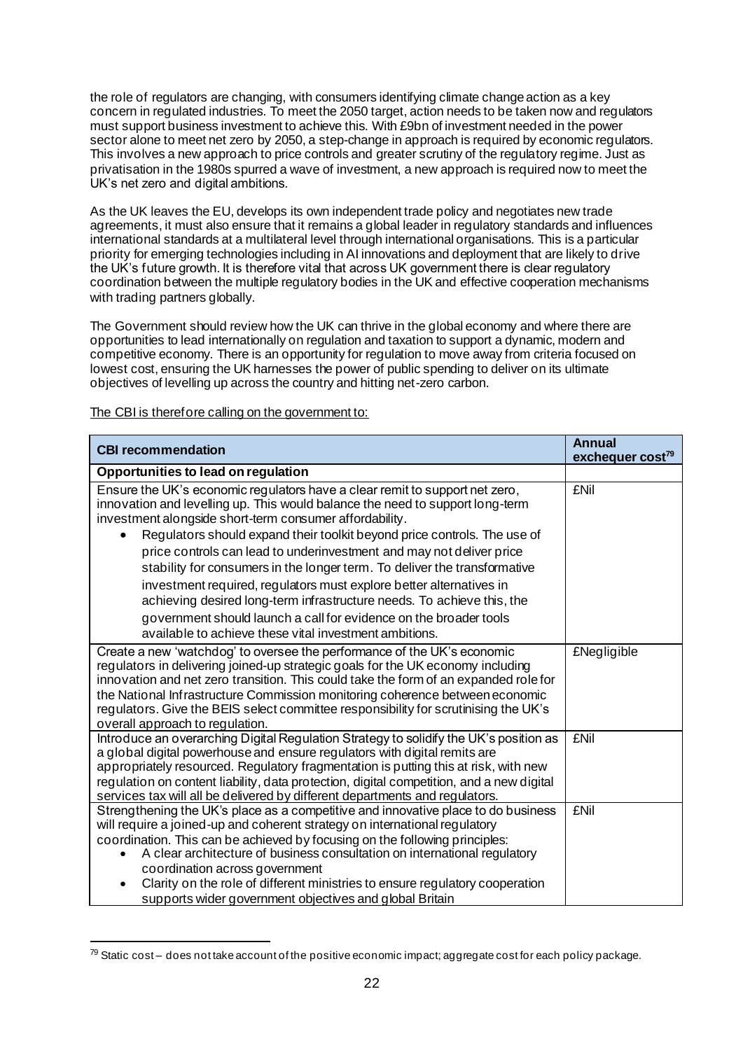the role of regulators are changing, with consumers identifying climate change action as a key concern in regulated industries. To meet the 2050 target, action needs to be taken now and regulators must support business investment to achieve this. With £9bn of investment needed in the power sector alone to meet net zero by 2050, a step-change in approach is required by economic regulators. This involves a new approach to price controls and greater scrutiny of the regulatory regime. Just as privatisation in the 1980s spurred a wave of investment, a new approach is required now to meet the UK's net zero and digital ambitions.

As the UK leaves the EU, develops its own independent trade policy and negotiates new trade agreements, it must also ensure that it remains a global leader in regulatory standards and influences international standards at a multilateral level through international organisations. This is a particular priority for emerging technologies including in AI innovations and deployment that are likely to drive the UK's future growth. It is therefore vital that across UK government there is clear regulatory coordination between the multiple regulatory bodies in the UK and effective cooperation mechanisms with trading partners globally.

The Government should review how the UK can thrive in the global economy and where there are opportunities to lead internationally on regulation and taxation to support a dynamic, modern and competitive economy. There is an opportunity for regulation to move away from criteria focused on lowest cost, ensuring the UK harnesses the power of public spending to deliver on its ultimate objectives of levelling up across the country and hitting net-zero carbon.

| <b>CBI recommendation</b>                                                                                                                                                                                                                                                                                                                                                                                                                                                                                                                                                                                                                                                                                                                | <b>Annual</b><br>exchequer cost <sup>79</sup> |
|------------------------------------------------------------------------------------------------------------------------------------------------------------------------------------------------------------------------------------------------------------------------------------------------------------------------------------------------------------------------------------------------------------------------------------------------------------------------------------------------------------------------------------------------------------------------------------------------------------------------------------------------------------------------------------------------------------------------------------------|-----------------------------------------------|
| Opportunities to lead on regulation                                                                                                                                                                                                                                                                                                                                                                                                                                                                                                                                                                                                                                                                                                      |                                               |
| Ensure the UK's economic regulators have a clear remit to support net zero,<br>innovation and levelling up. This would balance the need to support long-term<br>investment alongside short-term consumer affordability.<br>Regulators should expand their toolkit beyond price controls. The use of<br>price controls can lead to underinvestment and may not deliver price<br>stability for consumers in the longer term. To deliver the transformative<br>investment required, regulators must explore better alternatives in<br>achieving desired long-term infrastructure needs. To achieve this, the<br>government should launch a call for evidence on the broader tools<br>available to achieve these vital investment ambitions. | <b>£Nil</b>                                   |
| Create a new 'watchdog' to oversee the performance of the UK's economic<br>regulators in delivering joined-up strategic goals for the UK economy including<br>innovation and net zero transition. This could take the form of an expanded role for<br>the National Infrastructure Commission monitoring coherence between economic<br>regulators. Give the BEIS select committee responsibility for scrutinising the UK's<br>overall approach to regulation.                                                                                                                                                                                                                                                                             | £Negligible                                   |
| Introduce an overarching Digital Regulation Strategy to solidify the UK's position as<br>a global digital powerhouse and ensure regulators with digital remits are<br>appropriately resourced. Regulatory fragmentation is putting this at risk, with new<br>regulation on content liability, data protection, digital competition, and a new digital<br>services tax will all be delivered by different departments and regulators.                                                                                                                                                                                                                                                                                                     | <b>£Nil</b>                                   |
| Strengthening the UK's place as a competitive and innovative place to do business<br>will require a joined-up and coherent strategy on international regulatory<br>coordination. This can be achieved by focusing on the following principles:<br>A clear architecture of business consultation on international regulatory<br>coordination across government<br>Clarity on the role of different ministries to ensure regulatory cooperation<br>$\bullet$<br>supports wider government objectives and global Britain                                                                                                                                                                                                                    | <b>£Nil</b>                                   |

 $^{79}$  Static cost – does not take account of the positive economic impact; aggregate cost for each policy package.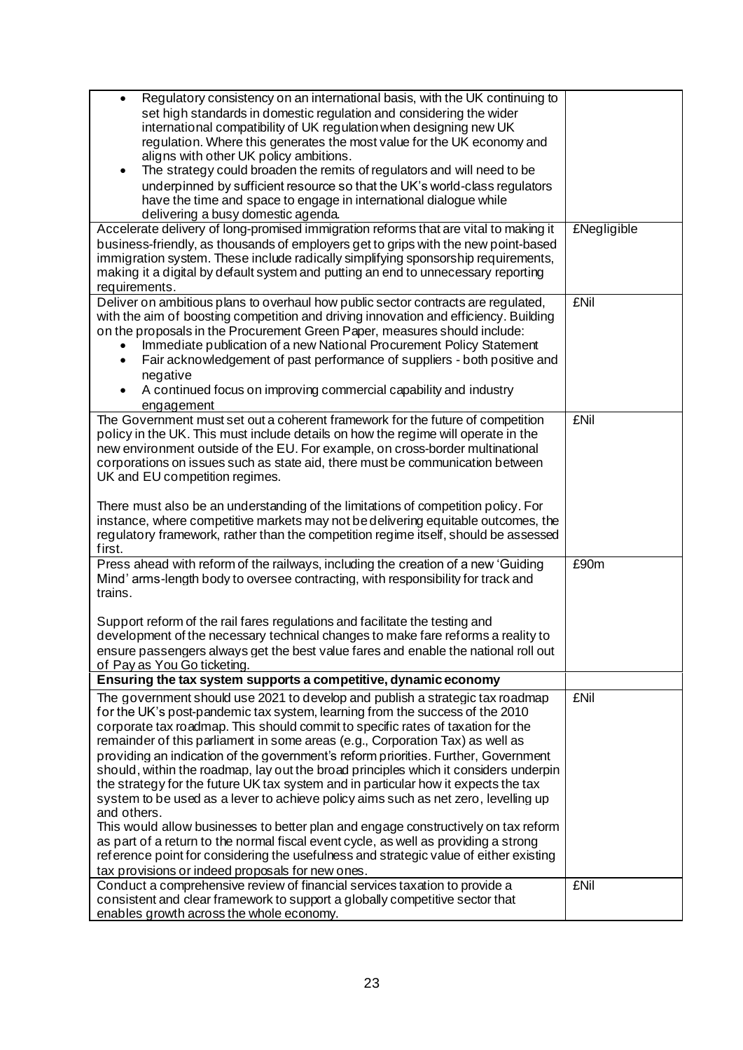| Regulatory consistency on an international basis, with the UK continuing to<br>$\bullet$<br>set high standards in domestic regulation and considering the wider<br>international compatibility of UK regulation when designing new UK<br>regulation. Where this generates the most value for the UK economy and<br>aligns with other UK policy ambitions.<br>The strategy could broaden the remits of regulators and will need to be<br>$\bullet$<br>underpinned by sufficient resource so that the UK's world-class regulators                                                                                                                                                                                                                                                                                                                                                                                                                                                                                                      |                    |
|--------------------------------------------------------------------------------------------------------------------------------------------------------------------------------------------------------------------------------------------------------------------------------------------------------------------------------------------------------------------------------------------------------------------------------------------------------------------------------------------------------------------------------------------------------------------------------------------------------------------------------------------------------------------------------------------------------------------------------------------------------------------------------------------------------------------------------------------------------------------------------------------------------------------------------------------------------------------------------------------------------------------------------------|--------------------|
| have the time and space to engage in international dialogue while<br>delivering a busy domestic agenda.                                                                                                                                                                                                                                                                                                                                                                                                                                                                                                                                                                                                                                                                                                                                                                                                                                                                                                                              |                    |
| Accelerate delivery of long-promised immigration reforms that are vital to making it<br>business-friendly, as thousands of employers get to grips with the new point-based<br>immigration system. These include radically simplifying sponsorship requirements,<br>making it a digital by default system and putting an end to unnecessary reporting<br>requirements.                                                                                                                                                                                                                                                                                                                                                                                                                                                                                                                                                                                                                                                                | <b>£Negligible</b> |
| Deliver on ambitious plans to overhaul how public sector contracts are regulated,<br>with the aim of boosting competition and driving innovation and efficiency. Building<br>on the proposals in the Procurement Green Paper, measures should include:<br>Immediate publication of a new National Procurement Policy Statement<br>Fair acknowledgement of past performance of suppliers - both positive and<br>negative<br>A continued focus on improving commercial capability and industry<br>٠<br>engagement                                                                                                                                                                                                                                                                                                                                                                                                                                                                                                                      | <b>£Nil</b>        |
| The Government must set out a coherent framework for the future of competition<br>policy in the UK. This must include details on how the regime will operate in the<br>new environment outside of the EU. For example, on cross-border multinational<br>corporations on issues such as state aid, there must be communication between<br>UK and EU competition regimes.<br>There must also be an understanding of the limitations of competition policy. For<br>instance, where competitive markets may not be delivering equitable outcomes, the<br>regulatory framework, rather than the competition regime itself, should be assessed<br>first.                                                                                                                                                                                                                                                                                                                                                                                   | <b>£Nil</b>        |
| Press ahead with reform of the railways, including the creation of a new 'Guiding<br>Mind' arms-length body to oversee contracting, with responsibility for track and<br>trains.<br>Support reform of the rail fares regulations and facilitate the testing and<br>development of the necessary technical changes to make fare reforms a reality to<br>ensure passengers always get the best value fares and enable the national roll out<br>of Pay as You Go ticketing.<br>Ensuring the tax system supports a competitive, dynamic economy                                                                                                                                                                                                                                                                                                                                                                                                                                                                                          | £90m               |
|                                                                                                                                                                                                                                                                                                                                                                                                                                                                                                                                                                                                                                                                                                                                                                                                                                                                                                                                                                                                                                      |                    |
| The government should use 2021 to develop and publish a strategic tax roadmap<br>for the UK's post-pandemic tax system, learning from the success of the 2010<br>corporate tax roadmap. This should commit to specific rates of taxation for the<br>remainder of this parliament in some areas (e.g., Corporation Tax) as well as<br>providing an indication of the government's reform priorities. Further, Government<br>should, within the roadmap, lay out the broad principles which it considers underpin<br>the strategy for the future UK tax system and in particular how it expects the tax<br>system to be used as a lever to achieve policy aims such as net zero, levelling up<br>and others.<br>This would allow businesses to better plan and engage constructively on tax reform<br>as part of a return to the normal fiscal event cycle, as well as providing a strong<br>reference point for considering the usefulness and strategic value of either existing<br>tax provisions or indeed proposals for new ones. | <b>£Nil</b>        |
| Conduct a comprehensive review of financial services taxation to provide a<br>consistent and clear framework to support a globally competitive sector that<br>enables growth across the whole economy.                                                                                                                                                                                                                                                                                                                                                                                                                                                                                                                                                                                                                                                                                                                                                                                                                               | <b>£Nil</b>        |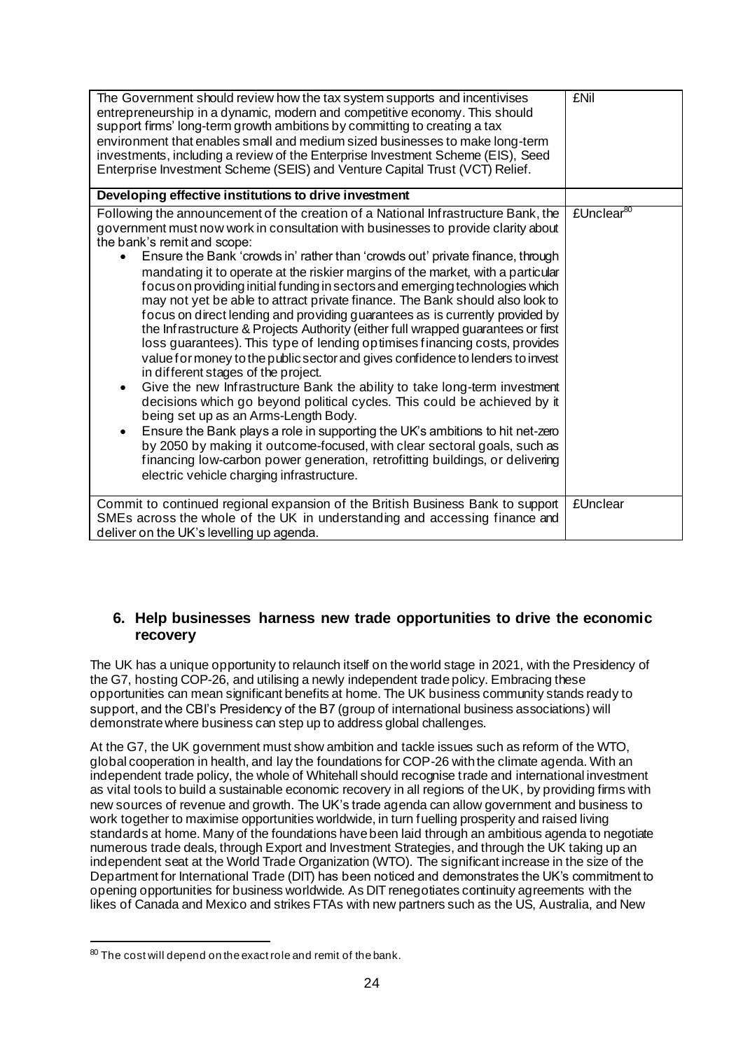| The Government should review how the tax system supports and incentivises<br>entrepreneurship in a dynamic, modern and competitive economy. This should<br>support firms' long-term growth ambitions by committing to creating a tax<br>environment that enables small and medium sized businesses to make long-term<br>investments, including a review of the Enterprise Investment Scheme (EIS), Seed<br>Enterprise Investment Scheme (SEIS) and Venture Capital Trust (VCT) Relief.                                                                                                                                                                                                                                                                                                                                                                                                                                                                                                                                                                                                                                                                                                                                                                                                                                                                                                                                              | <b>£Nil</b>            |
|-------------------------------------------------------------------------------------------------------------------------------------------------------------------------------------------------------------------------------------------------------------------------------------------------------------------------------------------------------------------------------------------------------------------------------------------------------------------------------------------------------------------------------------------------------------------------------------------------------------------------------------------------------------------------------------------------------------------------------------------------------------------------------------------------------------------------------------------------------------------------------------------------------------------------------------------------------------------------------------------------------------------------------------------------------------------------------------------------------------------------------------------------------------------------------------------------------------------------------------------------------------------------------------------------------------------------------------------------------------------------------------------------------------------------------------|------------------------|
| Developing effective institutions to drive investment                                                                                                                                                                                                                                                                                                                                                                                                                                                                                                                                                                                                                                                                                                                                                                                                                                                                                                                                                                                                                                                                                                                                                                                                                                                                                                                                                                               |                        |
| Following the announcement of the creation of a National Infrastructure Bank, the<br>government must now work in consultation with businesses to provide clarity about<br>the bank's remit and scope:<br>Ensure the Bank 'crowds in' rather than 'crowds out' private finance, through<br>mandating it to operate at the riskier margins of the market, with a particular<br>focus on providing initial funding in sectors and emerging technologies which<br>may not yet be able to attract private finance. The Bank should also look to<br>focus on direct lending and providing guarantees as is currently provided by<br>the Infrastructure & Projects Authority (either full wrapped guarantees or first<br>loss guarantees). This type of lending op timises financing costs, provides<br>value for money to the public sector and gives confidence to lenders to invest<br>in different stages of the project.<br>Give the new Infrastructure Bank the ability to take long-term investment<br>٠<br>decisions which go beyond political cycles. This could be achieved by it<br>being set up as an Arms-Length Body.<br>Ensure the Bank plays a role in supporting the UK's ambitions to hit net-zero<br>$\bullet$<br>by 2050 by making it outcome-focused, with clear sectoral goals, such as<br>financing low-carbon power generation, retrofitting buildings, or delivering<br>electric vehicle charging infrastructure. | £Unclear <sup>80</sup> |
| Commit to continued regional expansion of the British Business Bank to support<br>SMEs across the whole of the UK in understanding and accessing finance and<br>deliver on the UK's levelling up agenda.                                                                                                                                                                                                                                                                                                                                                                                                                                                                                                                                                                                                                                                                                                                                                                                                                                                                                                                                                                                                                                                                                                                                                                                                                            | <b>£Unclear</b>        |

### **6. Help businesses harness new trade opportunities to drive the economic recovery**

The UK has a unique opportunity to relaunch itself on the world stage in 2021, with the Presidency of the G7, hosting COP-26, and utilising a newly independent trade policy. Embracing these opportunities can mean significant benefits at home. The UK business community stands ready to support, and the CBI's Presidency of the B7 (group of international business associations) will demonstrate where business can step up to address global challenges.

At the G7, the UK government must show ambition and tackle issues such as reform of the WTO, global cooperation in health, and lay the foundations for COP-26 with the climate agenda. With an independent trade policy, the whole of Whitehall should recognise trade and international investment as vital tools to build a sustainable economic recovery in all regions of the UK, by providing firms with new sources of revenue and growth. The UK's trade agenda can allow government and business to work together to maximise opportunities worldwide, in turn fuelling prosperity and raised living standards at home. Many of the foundations have been laid through an ambitious agenda to negotiate numerous trade deals, through Export and Investment Strategies, and through the UK taking up an independent seat at the World Trade Organization (WTO). The significant increase in the size of the Department for International Trade (DIT) has been noticed and demonstrates the UK's commitment to opening opportunities for business worldwide. As DIT renegotiates continuity agreements with the likes of Canada and Mexico and strikes FTAs with new partners such as the US, Australia, and New

<sup>80</sup> The cost will depend on the exact role and remit of the bank.